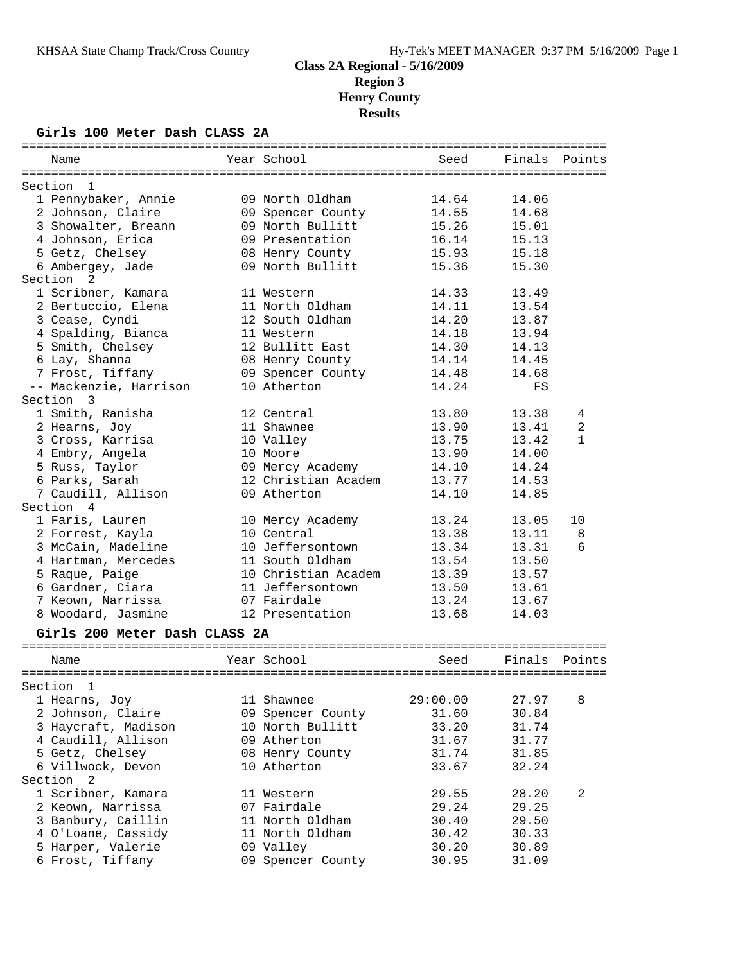# **Girls 100 Meter Dash CLASS 2A**

| Name                          | Year School         | Seed     |        | Finals Points |
|-------------------------------|---------------------|----------|--------|---------------|
| Section 1                     |                     |          |        |               |
| 1 Pennybaker, Annie           | 09 North Oldham     | 14.64    | 14.06  |               |
| 2 Johnson, Claire             | 09 Spencer County   | 14.55    | 14.68  |               |
| 3 Showalter, Breann           | 09 North Bullitt    | 15.26    | 15.01  |               |
| 4 Johnson, Erica              | 09 Presentation     | 16.14    | 15.13  |               |
| 5 Getz, Chelsey               | 08 Henry County     | 15.93    | 15.18  |               |
| 6 Ambergey, Jade              | 09 North Bullitt    | 15.36    | 15.30  |               |
| Section<br>2                  |                     |          |        |               |
| 1 Scribner, Kamara            | 11 Western          | 14.33    | 13.49  |               |
| 2 Bertuccio, Elena            | 11 North Oldham     | 14.11    | 13.54  |               |
| 3 Cease, Cyndi                | 12 South Oldham     | 14.20    | 13.87  |               |
| 4 Spalding, Bianca            | 11 Western          | 14.18    | 13.94  |               |
| 5 Smith, Chelsey              | 12 Bullitt East     | 14.30    | 14.13  |               |
| 6 Lay, Shanna                 | 08 Henry County     | 14.14    | 14.45  |               |
| 7 Frost, Tiffany              | 09 Spencer County   | 14.48    | 14.68  |               |
| -- Mackenzie, Harrison        | 10 Atherton         | 14.24    | FS     |               |
| Section 3                     |                     |          |        |               |
| 1 Smith, Ranisha              | 12 Central          | 13.80    | 13.38  | 4             |
| 2 Hearns, Joy                 | 11 Shawnee          | 13.90    | 13.41  | $\sqrt{2}$    |
| 3 Cross, Karrisa              | 10 Valley           | 13.75    | 13.42  | $\mathbf{1}$  |
| 4 Embry, Angela               | 10 Moore            | 13.90    | 14.00  |               |
| 5 Russ, Taylor                | 09 Mercy Academy    | 14.10    | 14.24  |               |
| 6 Parks, Sarah                | 12 Christian Academ | 13.77    | 14.53  |               |
| 7 Caudill, Allison            | 09 Atherton         | 14.10    | 14.85  |               |
| Section 4                     |                     |          |        |               |
| 1 Faris, Lauren               | 10 Mercy Academy    | 13.24    | 13.05  | 10            |
| 2 Forrest, Kayla              | 10 Central          | 13.38    | 13.11  | 8             |
| 3 McCain, Madeline            | 10 Jeffersontown    | 13.34    | 13.31  | 6             |
| 4 Hartman, Mercedes           | 11 South Oldham     | 13.54    | 13.50  |               |
| 5 Raque, Paige                | 10 Christian Academ | 13.39    | 13.57  |               |
| 6 Gardner, Ciara              | 11 Jeffersontown    | 13.50    | 13.61  |               |
| 7 Keown, Narrissa             | 07 Fairdale         | 13.24    | 13.67  |               |
| 8 Woodard, Jasmine            | 12 Presentation     | 13.68    | 14.03  |               |
|                               |                     |          |        |               |
| Girls 200 Meter Dash CLASS 2A |                     |          |        |               |
| Name                          | Year School         | Seed     | Finals | Points        |
|                               |                     |          |        |               |
| Section<br>$\mathbf{1}$       |                     |          |        |               |
| 1 Hearns, Joy                 | 11 Shawnee          | 29:00.00 | 27.97  | 8             |
| 2 Johnson, Claire             | 09 Spencer County   | 31.60    | 30.84  |               |
| 3 Haycraft, Madison           | 10 North Bullitt    | 33.20    | 31.74  |               |
| 4 Caudill, Allison            | 09 Atherton         | 31.67    | 31.77  |               |
| 5 Getz, Chelsey               | 08 Henry County     | 31.74    | 31.85  |               |
| 6 Villwock, Devon             | 10 Atherton         | 33.67    | 32.24  |               |
| Section 2                     |                     |          |        |               |
| 1 Scribner, Kamara            | 11 Western          | 29.55    | 28.20  | 2             |
| 2 Keown, Narrissa             | 07 Fairdale         | 29.24    | 29.25  |               |
| 3 Banbury, Caillin            | 11 North Oldham     | 30.40    | 29.50  |               |
| 4 O'Loane, Cassidy            | 11 North Oldham     | 30.42    | 30.33  |               |
| 5 Harper, Valerie             | 09 Valley           | 30.20    | 30.89  |               |
| 6 Frost, Tiffany              | 09 Spencer County   | 30.95    | 31.09  |               |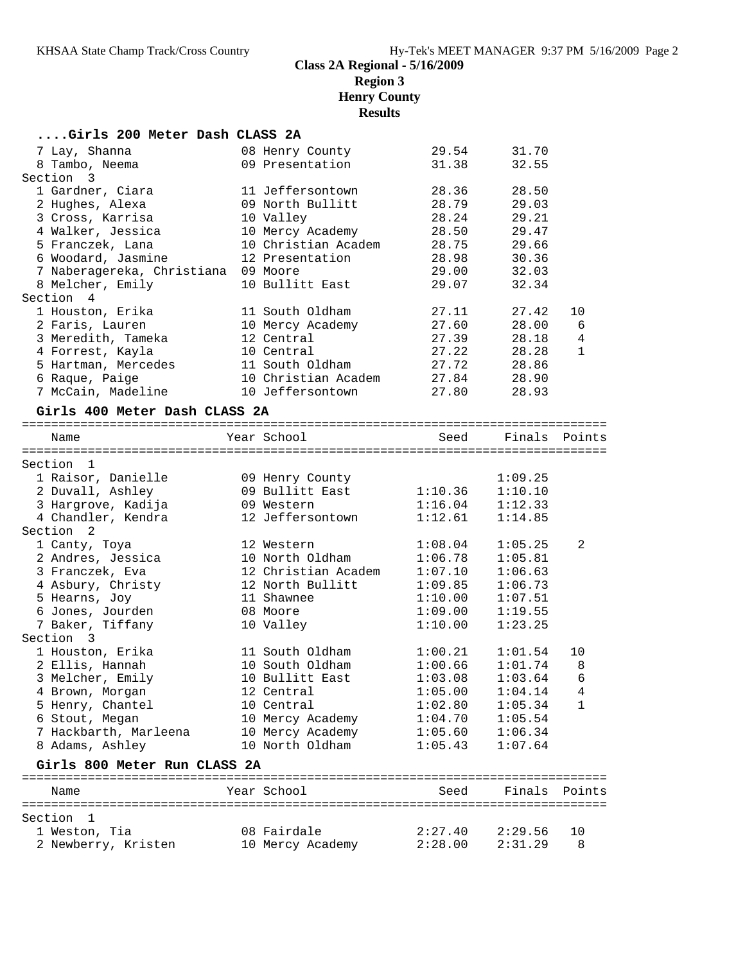#### **....Girls 200 Meter Dash CLASS 2A**

| 7 Lay, Shanna                 | 08 Henry County     | 29.54   | 31.70         |              |
|-------------------------------|---------------------|---------|---------------|--------------|
| 8 Tambo, Neema                | 09 Presentation     | 31.38   | 32.55         |              |
| Section 3                     |                     |         |               |              |
| 1 Gardner, Ciara              | 11 Jeffersontown    | 28.36   | 28.50         |              |
| 2 Hughes, Alexa               | 09 North Bullitt    | 28.79   | 29.03         |              |
| 3 Cross, Karrisa              | 10 Valley           | 28.24   | 29.21         |              |
| 4 Walker, Jessica             | 10 Mercy Academy    | 28.50   | 29.47         |              |
| 5 Franczek, Lana              | 10 Christian Academ | 28.75   | 29.66         |              |
| 6 Woodard, Jasmine            | 12 Presentation     | 28.98   | 30.36         |              |
| 7 Naberagereka, Christiana    | 09 Moore            | 29.00   | 32.03         |              |
| 8 Melcher, Emily              | 10 Bullitt East     | 29.07   | 32.34         |              |
| Section 4                     |                     |         |               |              |
| 1 Houston, Erika              | 11 South Oldham     | 27.11   | 27.42         | 10           |
| 2 Faris, Lauren               | 10 Mercy Academy    | 27.60   | 28.00         | 6            |
| 3 Meredith, Tameka            | 12 Central          | 27.39   | 28.18         | 4            |
| 4 Forrest, Kayla              | 10 Central          | 27.22   | 28.28         | $\mathbf{1}$ |
| 5 Hartman, Mercedes           | 11 South Oldham     | 27.72   | 28.86         |              |
| 6 Raque, Paige                | 10 Christian Academ | 27.84   | 28.90         |              |
| 7 McCain, Madeline            | 10 Jeffersontown    | 27.80   | 28.93         |              |
| Girls 400 Meter Dash CLASS 2A |                     |         |               |              |
|                               |                     |         |               |              |
| Name                          | Year School         | Seed    | Finals Points |              |
|                               |                     |         |               |              |
| Section 1                     |                     |         |               |              |
| 1 Raisor, Danielle            | 09 Henry County     |         | 1:09.25       |              |
| 2 Duvall, Ashley              | 09 Bullitt East     | 1:10.36 | 1:10.10       |              |
| 3 Hargrove, Kadija            | 09 Western          | 1:16.04 | 1:12.33       |              |
| 4 Chandler, Kendra            | 12 Jeffersontown    | 1:12.61 | 1:14.85       |              |
| Section<br>$\overline{2}$     |                     |         |               |              |
| 1 Canty, Toya                 | 12 Western          | 1:08.04 | 1:05.25       | 2            |
| 2 Andres, Jessica             | 10 North Oldham     | 1:06.78 | 1:05.81       |              |
| 3 Franczek, Eva               | 12 Christian Academ | 1:07.10 | 1:06.63       |              |
| 4 Asbury, Christy             | 12 North Bullitt    | 1:09.85 | 1:06.73       |              |
| 5 Hearns, Joy                 | 11 Shawnee          | 1:10.00 | 1:07.51       |              |
| 6 Jones, Jourden              | 08 Moore            | 1:09.00 | 1:19.55       |              |
| 7 Baker, Tiffany              | 10 Valley           | 1:10.00 | 1:23.25       |              |
| Section 3                     |                     |         |               |              |
| 1 Houston, Erika              | 11 South Oldham     | 1:00.21 | 1:01.54       | 10           |

 2 Ellis, Hannah 10 South Oldham 1:00.66 1:01.74 8 3 Melcher, Emily 10 Bullitt East 1:03.08 1:03.64 6 4 Brown, Morgan 12 Central 1:05.00 1:04.14 4 5 Henry, Chantel 10 Central 1:02.80 1:05.34 1 6 Stout, Megan 10 Mercy Academy 1:04.70 1:05.54 7 Hackbarth, Marleena 10 Mercy Academy 1:05.60 1:06.34 8 Adams, Ashley 10 North Oldham 1:05.43 1:07.64 **Girls 800 Meter Run CLASS 2A** ================================================================================ Name The Year School Seed Finals Points

| Section 1           |                  |         |         |   |
|---------------------|------------------|---------|---------|---|
| 1 Weston, Tia       | 08 Fairdale      | 2:27.40 | 2:29.56 |   |
| 2 Newberry, Kristen | 10 Mercy Academy | 2:28.00 | 2:31.29 | 8 |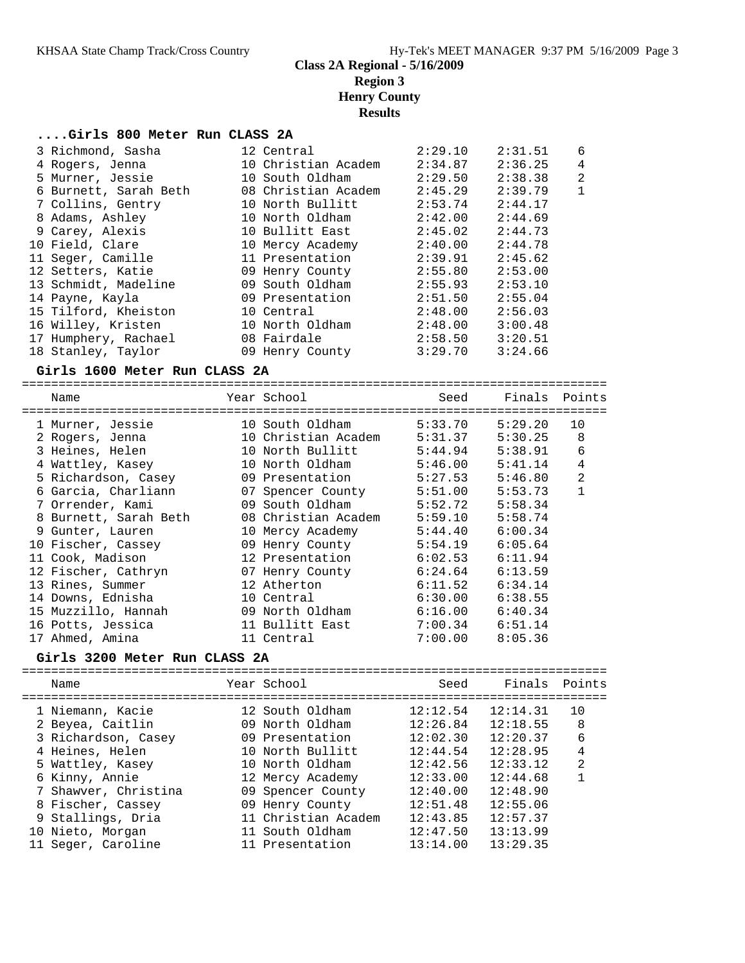#### **....Girls 800 Meter Run CLASS 2A**

|                                                                                                                                                                                                                                                                                                                                                  | 2:29.10                                                                                                                                                                                                                                                                                                  | 2:31.51 | 6              |
|--------------------------------------------------------------------------------------------------------------------------------------------------------------------------------------------------------------------------------------------------------------------------------------------------------------------------------------------------|----------------------------------------------------------------------------------------------------------------------------------------------------------------------------------------------------------------------------------------------------------------------------------------------------------|---------|----------------|
|                                                                                                                                                                                                                                                                                                                                                  | 2:34.87                                                                                                                                                                                                                                                                                                  | 2:36.25 | $\overline{4}$ |
|                                                                                                                                                                                                                                                                                                                                                  | 2:29.50                                                                                                                                                                                                                                                                                                  | 2:38.38 | $\overline{2}$ |
|                                                                                                                                                                                                                                                                                                                                                  | 2:45.29                                                                                                                                                                                                                                                                                                  | 2:39.79 | $\mathbf{1}$   |
|                                                                                                                                                                                                                                                                                                                                                  | 2:53.74                                                                                                                                                                                                                                                                                                  | 2:44.17 |                |
|                                                                                                                                                                                                                                                                                                                                                  | 2:42.00                                                                                                                                                                                                                                                                                                  | 2:44.69 |                |
|                                                                                                                                                                                                                                                                                                                                                  | 2:45.02                                                                                                                                                                                                                                                                                                  | 2:44.73 |                |
|                                                                                                                                                                                                                                                                                                                                                  | 2:40.00                                                                                                                                                                                                                                                                                                  | 2:44.78 |                |
|                                                                                                                                                                                                                                                                                                                                                  | 2:39.91                                                                                                                                                                                                                                                                                                  | 2:45.62 |                |
|                                                                                                                                                                                                                                                                                                                                                  | 2:55.80                                                                                                                                                                                                                                                                                                  | 2:53.00 |                |
|                                                                                                                                                                                                                                                                                                                                                  | 2:55.93                                                                                                                                                                                                                                                                                                  | 2:53.10 |                |
|                                                                                                                                                                                                                                                                                                                                                  | 2:51.50                                                                                                                                                                                                                                                                                                  | 2:55.04 |                |
|                                                                                                                                                                                                                                                                                                                                                  | 2:48.00                                                                                                                                                                                                                                                                                                  | 2:56.03 |                |
|                                                                                                                                                                                                                                                                                                                                                  | 2:48.00                                                                                                                                                                                                                                                                                                  | 3:00.48 |                |
|                                                                                                                                                                                                                                                                                                                                                  | 2:58.50                                                                                                                                                                                                                                                                                                  | 3:20.51 |                |
|                                                                                                                                                                                                                                                                                                                                                  | 3:29.70                                                                                                                                                                                                                                                                                                  | 3:24.66 |                |
| 3 Richmond, Sasha<br>4 Rogers, Jenna<br>5 Murner, Jessie<br>6 Burnett, Sarah Beth<br>7 Collins, Gentry<br>8 Adams, Ashley<br>9 Carey, Alexis<br>10 Field, Clare<br>11 Seger, Camille<br>12 Setters, Katie<br>13 Schmidt, Madeline<br>14 Payne, Kayla<br>15 Tilford, Kheiston<br>16 Willey, Kristen<br>17 Humphery, Rachael<br>18 Stanley, Taylor | 12 Central<br>10 Christian Academ<br>10 South Oldham<br>08 Christian Academ<br>10 North Bullitt<br>10 North Oldham<br>10 Bullitt East<br>10 Mercy Academy<br>11 Presentation<br>09 Henry County<br>09 South Oldham<br>09 Presentation<br>10 Central<br>10 North Oldham<br>08 Fairdale<br>09 Henry County |         |                |

#### **Girls 1600 Meter Run CLASS 2A**

| Name                                                  | Year School         | Seed    | Finals Points |             |
|-------------------------------------------------------|---------------------|---------|---------------|-------------|
| =================================<br>1 Murner, Jessie | 10 South Oldham     | 5:33.70 | 5:29.20       | 10          |
| 2 Rogers, Jenna                                       | 10 Christian Academ | 5:31.37 | 5:30.25       | 8           |
| 3 Heines, Helen                                       | 10 North Bullitt    | 5:44.94 | 5:38.91       | 6           |
| 4 Wattley, Kasey                                      | 10 North Oldham     | 5:46.00 | 5:41.14       | 4           |
| 5 Richardson, Casey                                   | 09 Presentation     | 5:27.53 | 5:46.80       | 2           |
| 6 Garcia, Charliann                                   | 07 Spencer County   | 5:51.00 | 5:53.73       | $\mathbf 1$ |
| 7 Orrender, Kami                                      | 09 South Oldham     | 5:52.72 | 5:58.34       |             |
| 8 Burnett, Sarah Beth                                 | 08 Christian Academ | 5:59.10 | 5:58.74       |             |
| 9 Gunter, Lauren                                      | 10 Mercy Academy    | 5:44.40 | 6:00.34       |             |
| 10 Fischer, Cassey                                    | 09 Henry County     | 5:54.19 | 6:05.64       |             |
| 11 Cook, Madison                                      | 12 Presentation     | 6:02.53 | 6:11.94       |             |
| 12 Fischer, Cathryn                                   | 07 Henry County     | 6:24.64 | 6:13.59       |             |
| 13 Rines, Summer                                      | 12 Atherton         | 6:11.52 | 6:34.14       |             |
| 14 Downs, Ednisha                                     | 10 Central          | 6:30.00 | 6:38.55       |             |
| 15 Muzzillo, Hannah                                   | 09 North Oldham     | 6:16.00 | 6:40.34       |             |
| 16 Potts, Jessica                                     | 11 Bullitt East     | 7:00.34 | 6:51.14       |             |
| 17 Ahmed, Amina                                       | 11 Central          | 7:00.00 | 8:05.36       |             |
|                                                       |                     |         |               |             |

#### **Girls 3200 Meter Run CLASS 2A**

| Name                 | Year School         | Seed     | Finals   | Points         |
|----------------------|---------------------|----------|----------|----------------|
| 1 Niemann, Kacie     | 12 South Oldham     | 12:12.54 | 12:14.31 | 10             |
| 2 Beyea, Caitlin     | 09 North Oldham     | 12:26.84 | 12:18.55 | 8              |
| 3 Richardson, Casey  | 09 Presentation     | 12:02.30 | 12:20.37 | 6              |
| 4 Heines, Helen      | 10 North Bullitt    | 12:44.54 | 12:28.95 | 4              |
| 5 Wattley, Kasey     | 10 North Oldham     | 12:42.56 | 12:33.12 | $\overline{2}$ |
| 6 Kinny, Annie       | 12 Mercy Academy    | 12:33.00 | 12:44.68 |                |
| 7 Shawyer, Christina | 09 Spencer County   | 12:40.00 | 12:48.90 |                |
| 8 Fischer, Cassey    | 09 Henry County     | 12:51.48 | 12:55.06 |                |
| 9 Stallings, Dria    | 11 Christian Academ | 12:43.85 | 12:57.37 |                |
| 10 Nieto, Morgan     | 11 South Oldham     | 12:47.50 | 13:13.99 |                |
| 11 Seger, Caroline   | 11 Presentation     | 13:14.00 | 13:29.35 |                |
|                      |                     |          |          |                |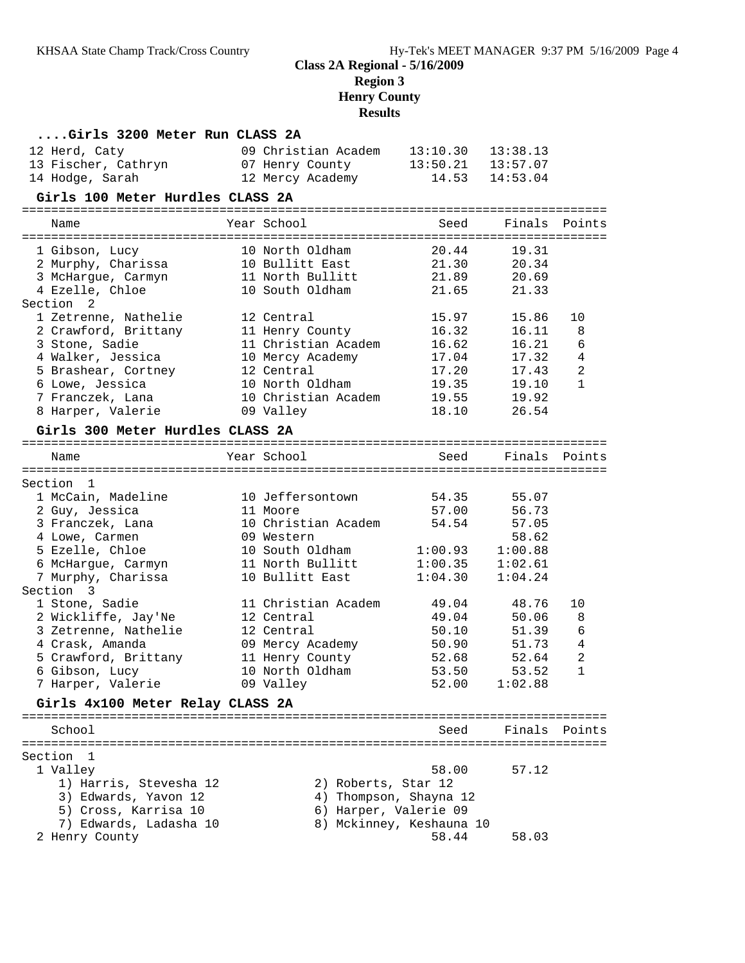| Girls 3200 Meter Run CLASS 2A      |                                 |                          |                |                |
|------------------------------------|---------------------------------|--------------------------|----------------|----------------|
| 12 Herd, Caty                      | 09 Christian Academ             | 13:10.30                 | 13:38.13       |                |
| 13 Fischer, Cathryn                | 07 Henry County                 | 13:50.21                 | 13:57.07       |                |
| 14 Hodge, Sarah                    | 12 Mercy Academy                | 14.53                    | 14:53.04       |                |
| Girls 100 Meter Hurdles CLASS 2A   |                                 |                          |                |                |
|                                    |                                 |                          |                |                |
| Name                               | Year School                     | Seed                     | Finals         | Points         |
| 1 Gibson, Lucy                     | 10 North Oldham                 | 20.44                    | 19.31          |                |
| 2 Murphy, Charissa                 | 10 Bullitt East                 | 21.30                    | 20.34          |                |
| 3 McHargue, Carmyn                 | 11 North Bullitt                | 21.89                    | 20.69          |                |
| 4 Ezelle, Chloe                    | 10 South Oldham                 | 21.65                    | 21.33          |                |
| Section<br>-2                      |                                 |                          |                |                |
| 1 Zetrenne, Nathelie               | 12 Central                      | 15.97                    | 15.86          | 10             |
| 2 Crawford, Brittany               | 11 Henry County                 | 16.32                    | 16.11          | 8              |
| 3 Stone, Sadie                     | 11 Christian Academ             | 16.62                    | 16.21          | 6              |
| 4 Walker, Jessica                  | 10 Mercy Academy                | 17.04                    | 17.32          | 4              |
| 5 Brashear, Cortney                | 12 Central                      | 17.20                    | 17.43          | $\overline{2}$ |
| 6 Lowe, Jessica                    | 10 North Oldham                 | 19.35                    | 19.10          | $\mathbf{1}$   |
| 7 Franczek, Lana                   | 10 Christian Academ             | 19.55                    | 19.92          |                |
| 8 Harper, Valerie                  | 09 Valley                       | 18.10                    | 26.54          |                |
| Girls 300 Meter Hurdles CLASS 2A   |                                 |                          |                |                |
|                                    |                                 |                          |                |                |
| Name                               | Year School                     | Seed                     | Finals         | Points         |
|                                    |                                 |                          |                |                |
| Section 1                          |                                 |                          |                |                |
| 1 McCain, Madeline                 | 10 Jeffersontown                | 54.35                    | 55.07<br>56.73 |                |
| 2 Guy, Jessica                     | 11 Moore<br>10 Christian Academ | 57.00<br>54.54           | 57.05          |                |
| 3 Franczek, Lana<br>4 Lowe, Carmen | 09 Western                      |                          | 58.62          |                |
| 5 Ezelle, Chloe                    | 10 South Oldham                 | 1:00.93                  | 1:00.88        |                |
| 6 McHargue, Carmyn                 | 11 North Bullitt                | 1:00.35                  | 1:02.61        |                |
| 7 Murphy, Charissa                 | 10 Bullitt East                 | 1:04.30                  | 1:04.24        |                |
| Section 3                          |                                 |                          |                |                |
| 1 Stone, Sadie                     | 11 Christian Academ             | 49.04                    | 48.76          | 10             |
| 2 Wickliffe, Jay'Ne                | 12 Central                      | 49.04                    | 50.06          | 8              |
| 3 Zetrenne, Nathelie               | 12 Central                      | 50.10                    | 51.39          | 6              |
| 4 Crask, Amanda                    | 09 Mercy Academy                | 50.90                    | 51.73          | $\overline{4}$ |
| 5 Crawford, Brittany               | 11 Henry County                 | 52.68                    | 52.64          | $\overline{2}$ |
| 6 Gibson, Lucy                     | 10 North Oldham                 | 53.50                    | 53.52          | 1              |
| 7 Harper, Valerie                  | 09 Valley                       | 52.00                    | 1:02.88        |                |
| Girls 4x100 Meter Relay CLASS 2A   |                                 |                          |                |                |
|                                    |                                 |                          |                |                |
| School                             |                                 | Seed                     | Finals         | Points         |
|                                    |                                 |                          |                |                |
| Section<br>-1                      |                                 |                          |                |                |
| 1 Valley                           |                                 | 58.00                    | 57.12          |                |
| 1) Harris, Stevesha 12             | 2) Roberts, Star 12             |                          |                |                |
| 3) Edwards, Yavon 12               |                                 | 4) Thompson, Shayna 12   |                |                |
| 5) Cross, Karrisa 10               | 6) Harper, Valerie 09           |                          |                |                |
| 7) Edwards, Ladasha 10             |                                 | 8) Mckinney, Keshauna 10 |                |                |
| 2 Henry County                     |                                 | 58.44                    | 58.03          |                |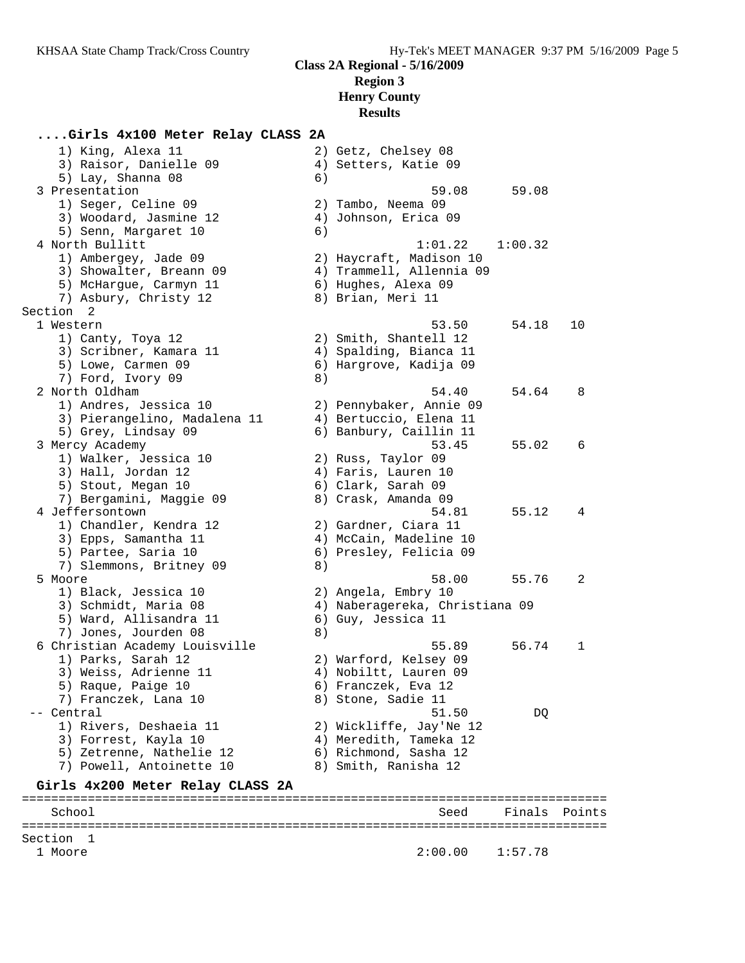# **....Girls 4x100 Meter Relay CLASS 2A**

| 1) King, Alexa 11                |    | 2) Getz, Chelsey 08            |         |        |
|----------------------------------|----|--------------------------------|---------|--------|
| 3) Raisor, Danielle 09           |    | 4) Setters, Katie 09           |         |        |
| 5) Lay, Shanna 08                | 6) |                                |         |        |
| 3 Presentation                   |    | 59.08                          | 59.08   |        |
| 1) Seger, Celine 09              |    | 2) Tambo, Neema 09             |         |        |
| 3) Woodard, Jasmine 12           |    | 4) Johnson, Erica 09           |         |        |
| 5) Senn, Margaret 10             | 6) |                                |         |        |
| 4 North Bullitt                  |    | 1:01.22                        | 1:00.32 |        |
| 1) Ambergey, Jade 09             |    | 2) Haycraft, Madison 10        |         |        |
| 3) Showalter, Breann 09          |    | 4) Trammell, Allennia 09       |         |        |
| 5) McHargue, Carmyn 11           |    | 6) Hughes, Alexa 09            |         |        |
| 7) Asbury, Christy 12            |    | 8) Brian, Meri 11              |         |        |
| Section <sub>2</sub>             |    |                                |         |        |
| 1 Western                        |    | 53.50                          | 54.18   | 10     |
| 1) Canty, Toya 12                |    | 2) Smith, Shantell 12          |         |        |
| 3) Scribner, Kamara 11           |    | 4) Spalding, Bianca 11         |         |        |
| 5) Lowe, Carmen 09               |    | 6) Hargrove, Kadija 09         |         |        |
| 7) Ford, Ivory 09                | 8) |                                |         |        |
| 2 North Oldham                   |    | 54.40                          | 54.64   | 8      |
| 1) Andres, Jessica 10            |    | 2) Pennybaker, Annie 09        |         |        |
| 3) Pierangelino, Madalena 11     |    | 4) Bertuccio, Elena 11         |         |        |
| 5) Grey, Lindsay 09              |    | 6) Banbury, Caillin 11         |         |        |
| 3 Mercy Academy                  |    | 53.45                          | 55.02   | 6      |
| 1) Walker, Jessica 10            |    | 2) Russ, Taylor 09             |         |        |
| 3) Hall, Jordan 12               |    | 4) Faris, Lauren 10            |         |        |
| 5) Stout, Megan 10               |    | 6) Clark, Sarah 09             |         |        |
| 7) Bergamini, Maggie 09          |    | 8) Crask, Amanda 09            |         |        |
| 4 Jeffersontown                  |    | 54.81                          | 55.12   | 4      |
| 1) Chandler, Kendra 12           |    | 2) Gardner, Ciara 11           |         |        |
| 3) Epps, Samantha 11             |    | 4) McCain, Madeline 10         |         |        |
| 5) Partee, Saria 10              |    | 6) Presley, Felicia 09         |         |        |
| 7) Slemmons, Britney 09          | 8) |                                |         |        |
| 5 Moore                          |    | 58.00                          | 55.76   | 2      |
| 1) Black, Jessica 10             |    | 2) Angela, Embry 10            |         |        |
| 3) Schmidt, Maria 08             |    | 4) Naberagereka, Christiana 09 |         |        |
| 5) Ward, Allisandra 11           |    | 6) Guy, Jessica 11             |         |        |
| 7) Jones, Jourden 08             | 8) |                                |         |        |
| 6 Christian Academy Louisville   |    | 55.89                          | 56.74   | 1      |
| 1) Parks, Sarah 12               |    | 2) Warford, Kelsey 09          |         |        |
| 3) Weiss, Adrienne 11            |    | 4) Nobiltt, Lauren 09          |         |        |
| 5) Raque, Paige 10               |    | 6) Franczek, Eva 12            |         |        |
| 7) Franczek, Lana 10             |    | 8) Stone, Sadie 11             |         |        |
| -- Central                       |    | 51.50                          | DQ      |        |
| 1) Rivers, Deshaeia 11           |    | 2) Wickliffe, Jay'Ne 12        |         |        |
| 3) Forrest, Kayla 10             |    | 4) Meredith, Tameka 12         |         |        |
| 5) Zetrenne, Nathelie 12         |    | 6) Richmond, Sasha 12          |         |        |
| 7) Powell, Antoinette 10         |    | 8) Smith, Ranisha 12           |         |        |
| Girls 4x200 Meter Relay CLASS 2A |    |                                |         |        |
| School                           |    | Seed                           | Finals  | Points |
|                                  |    | ============================== |         |        |

Section 1<br>1 Moore  $2:00.00$  1:57.78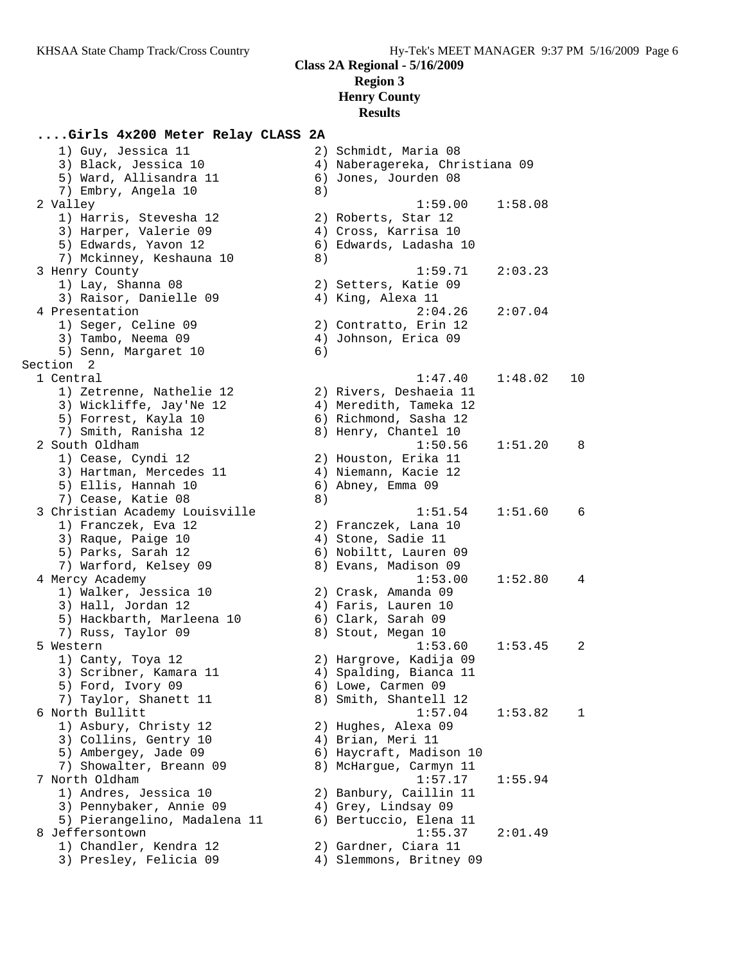# **....Girls 4x200 Meter Relay CLASS 2A**

| 1) Guy, Jessica 11             |    | 2) Schmidt, Maria 08           |         |    |
|--------------------------------|----|--------------------------------|---------|----|
| 3) Black, Jessica 10           |    | 4) Naberagereka, Christiana 09 |         |    |
| 5) Ward, Allisandra 11         |    | 6) Jones, Jourden 08           |         |    |
| 7) Embry, Angela 10            | 8) |                                |         |    |
| 2 Valley                       |    | 1:59.00                        | 1:58.08 |    |
| 1) Harris, Stevesha 12         |    | 2) Roberts, Star 12            |         |    |
| 3) Harper, Valerie 09          |    | 4) Cross, Karrisa 10           |         |    |
| 5) Edwards, Yavon 12           |    | 6) Edwards, Ladasha 10         |         |    |
| 7) Mckinney, Keshauna 10       | 8) |                                |         |    |
| 3 Henry County                 |    | 1:59.71                        | 2:03.23 |    |
| 1) Lay, Shanna 08              |    | 2) Setters, Katie 09           |         |    |
| 3) Raisor, Danielle 09         |    | 4) King, Alexa 11              |         |    |
| 4 Presentation                 |    | 2:04.26                        | 2:07.04 |    |
| 1) Seger, Celine 09            |    | 2) Contratto, Erin 12          |         |    |
|                                |    |                                |         |    |
| 3) Tambo, Neema 09             |    | 4) Johnson, Erica 09           |         |    |
| 5) Senn, Margaret 10           | 6) |                                |         |    |
| Section 2                      |    |                                |         |    |
| 1 Central                      |    | 1:47.40                        | 1:48.02 | 10 |
| 1) Zetrenne, Nathelie 12       |    | 2) Rivers, Deshaeia 11         |         |    |
| 3) Wickliffe, Jay'Ne 12        |    | 4) Meredith, Tameka 12         |         |    |
| 5) Forrest, Kayla 10           |    | 6) Richmond, Sasha 12          |         |    |
| 7) Smith, Ranisha 12           |    | 8) Henry, Chantel 10           |         |    |
| 2 South Oldham                 |    | 1:50.56                        | 1:51.20 | 8  |
| 1) Cease, Cyndi 12             |    | 2) Houston, Erika 11           |         |    |
| 3) Hartman, Mercedes 11        |    | 4) Niemann, Kacie 12           |         |    |
| 5) Ellis, Hannah 10            |    | 6) Abney, Emma 09              |         |    |
| 7) Cease, Katie 08             | 8) |                                |         |    |
| 3 Christian Academy Louisville |    | 1:51.54                        | 1:51.60 | 6  |
| 1) Franczek, Eva 12            |    | 2) Franczek, Lana 10           |         |    |
| 3) Raque, Paige 10             |    | 4) Stone, Sadie 11             |         |    |
| 5) Parks, Sarah 12             |    | 6) Nobiltt, Lauren 09          |         |    |
| 7) Warford, Kelsey 09          |    | 8) Evans, Madison 09           |         |    |
| 4 Mercy Academy                |    | 1:53.00                        | 1:52.80 | 4  |
| 1) Walker, Jessica 10          |    | 2) Crask, Amanda 09            |         |    |
| 3) Hall, Jordan 12             |    | 4) Faris, Lauren 10            |         |    |
| 5) Hackbarth, Marleena 10      |    | 6) Clark, Sarah 09             |         |    |
| 7) Russ, Taylor 09             |    | 8) Stout, Megan 10             |         |    |
| 5 Western                      |    | 1:53.60                        | 1:53.45 | 2  |
| 1) Canty, Toya 12              |    | 2) Hargrove, Kadija 09         |         |    |
| 3) Scribner, Kamara 11         |    | 4) Spalding, Bianca 11         |         |    |
| 5) Ford, Ivory 09              |    | 6) Lowe, Carmen 09             |         |    |
| 7) Taylor, Shanett 11          |    | 8) Smith, Shantell 12          |         |    |
| 6 North Bullitt                |    | 1:57.04                        | 1:53.82 | 1  |
| 1) Asbury, Christy 12          |    | 2) Hughes, Alexa 09            |         |    |
| 3) Collins, Gentry 10          |    | 4) Brian, Meri 11              |         |    |
| 5) Ambergey, Jade 09           |    | 6) Haycraft, Madison 10        |         |    |
| 7) Showalter, Breann 09        |    | 8) McHargue, Carmyn 11         |         |    |
|                                |    |                                |         |    |
| 7 North Oldham                 |    | 1:57.17                        | 1:55.94 |    |
| 1) Andres, Jessica 10          |    | 2) Banbury, Caillin 11         |         |    |
| 3) Pennybaker, Annie 09        |    | 4) Grey, Lindsay 09            |         |    |
| 5) Pierangelino, Madalena 11   |    | 6) Bertuccio, Elena 11         |         |    |
| 8 Jeffersontown                |    | 1:55.37                        | 2:01.49 |    |
| 1) Chandler, Kendra 12         |    | 2) Gardner, Ciara 11           |         |    |
| 3) Presley, Felicia 09         |    | 4) Slemmons, Britney 09        |         |    |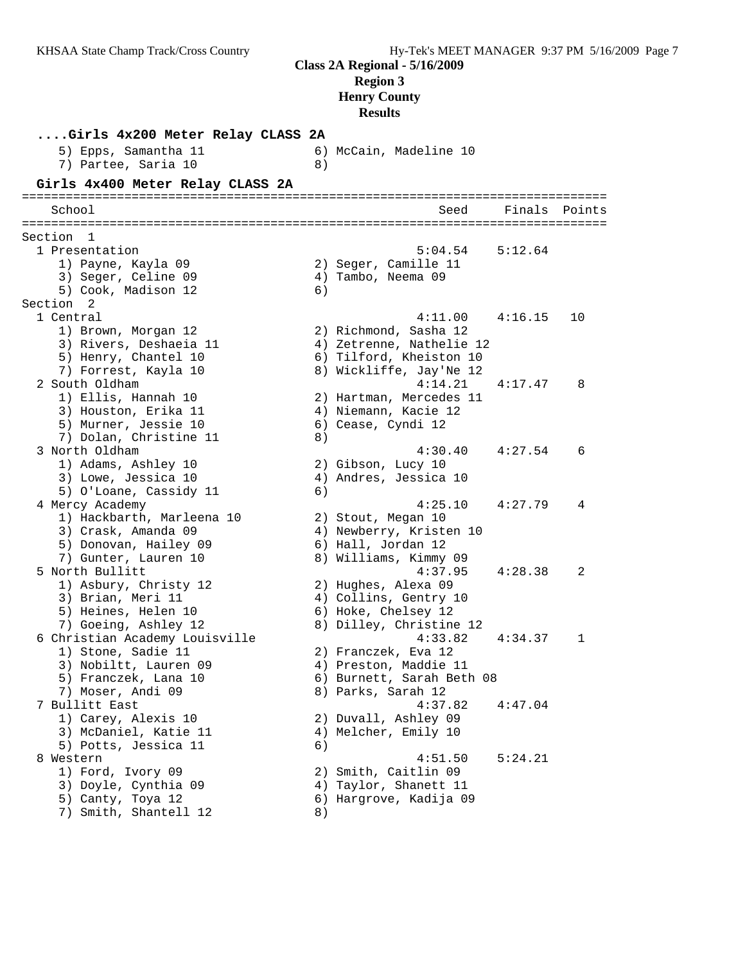**Results**

**....Girls 4x200 Meter Relay CLASS 2A** 5) Epps, Samantha 11 6) McCain, Madeline 10 7) Partee, Saria 10 (8) **Girls 4x400 Meter Relay CLASS 2A** ================================================================================ School Seed Finals Points ================================================================================ Section 1 1 Presentation 5:04.54 5:12.64 1) Payne, Kayla 09 2) Seger, Camille 11 3) Seger, Celine 09 (4) Tambo, Neema 09 5) Cook, Madison 12 6) Section 2 1 Central 4:11.00 4:16.15 10 1) Brown, Morgan 12 2) Richmond, Sasha 12 3) Rivers, Deshaeia 11 4) Zetrenne, Nathelie 12 5) Henry, Chantel 10 6) Tilford, Kheiston 10 7) Forrest, Kayla 10 8) Wickliffe, Jay'Ne 12 2 South Oldham 4:14.21 4:17.47 8 1) Ellis, Hannah 10 2) Hartman, Mercedes 11 3) Houston, Erika 11 4) Niemann, Kacie 12 5) Murner, Jessie 10  $\hphantom{\text{2.65}$  6) Cease, Cyndi 12 7) Dolan, Christine 11 8) 3 North Oldham 4:30.40 4:27.54 6 1) Adams, Ashley 10 2) Gibson, Lucy 10 3) Lowe, Jessica 10 4) Andres, Jessica 10 5) O'Loane, Cassidy 11 6) 4 Mercy Academy 4:25.10 4:27.79 4 1) Hackbarth, Marleena 10 2) Stout, Megan 10 3) Crask, Amanda 09 4) Newberry, Kristen 10 5) Donovan, Hailey 09 6) Hall, Jordan 12 7) Gunter, Lauren 10 8) Williams, Kimmy 09 5 North Bullitt 4:37.95 4:28.38 2 1) Asbury, Christy 12 2) Hughes, Alexa 09 3) Brian, Meri 11 4) Collins, Gentry 10 5) Heines, Helen 10 6) Hoke, Chelsey 12 7) Goeing, Ashley 12 8) Dilley, Christine 12 6 Christian Academy Louisville 4:33.82 4:34.37 1 1) Stone, Sadie 11 2) Franczek, Eva 12 3) Nobiltt, Lauren 09 4) Preston, Maddie 11 5) Franczek, Lana 10 6) Burnett, Sarah Beth 08 7) Moser, Andi 09 8) Parks, Sarah 12 7 Bullitt East 4:37.82 4:47.04 1) Carey, Alexis 10 2) Duvall, Ashley 09 3) McDaniel, Katie 11  $\hskip10mm$  4) Melcher, Emily 10 5) Potts, Jessica 11 6) 8 Western 1.1 and 1.51.50 5:24.21 1) Ford, Ivory 09 2) Smith, Caitlin 09 3) Doyle, Cynthia 09  $\hskip1cm \hskip 4.5 cm 4$ ) Taylor, Shanett 11 5) Canty, Toya 12 6) Hargrove, Kadija 09 7) Smith, Shantell 12 8)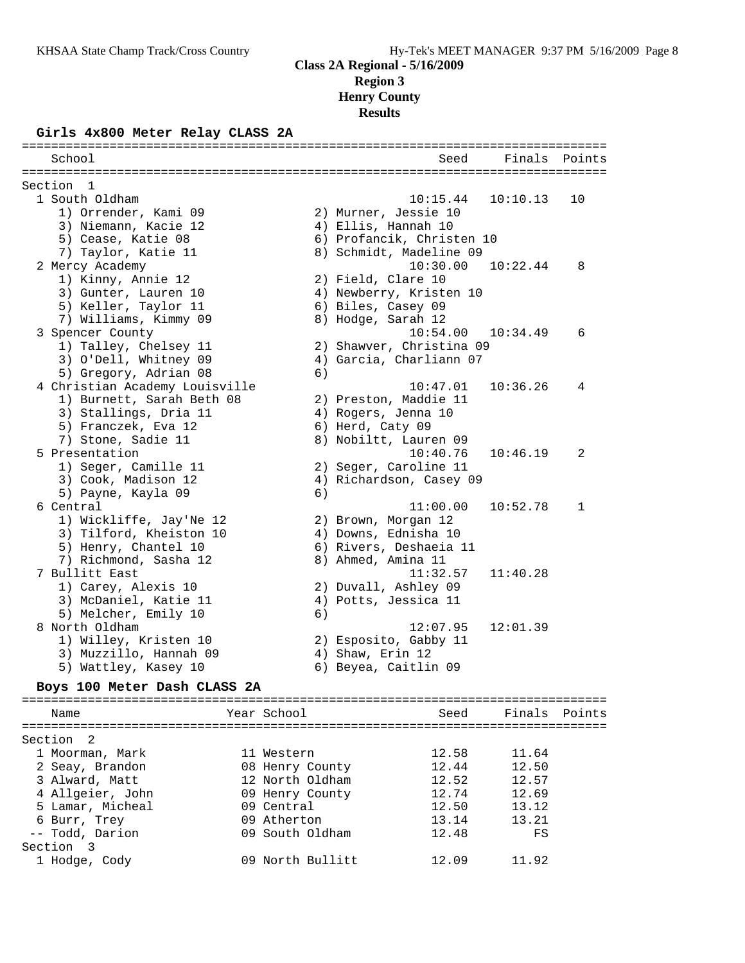#### **Girls 4x800 Meter Relay CLASS 2A**

| School                         |    | Seed                      | Finals   | Points       |
|--------------------------------|----|---------------------------|----------|--------------|
|                                |    |                           |          |              |
| Section 1                      |    |                           |          |              |
| 1 South Oldham                 |    | 10:15.44                  | 10:10.13 | 10           |
| 1) Orrender, Kami 09           |    | 2) Murner, Jessie 10      |          |              |
| 3) Niemann, Kacie 12           |    | 4) Ellis, Hannah 10       |          |              |
| 5) Cease, Katie 08             |    | 6) Profancik, Christen 10 |          |              |
| 7) Taylor, Katie 11            |    | 8) Schmidt, Madeline 09   |          |              |
| 2 Mercy Academy                |    | 10:30.00                  | 10:22.44 | 8            |
| 1) Kinny, Annie 12             |    | 2) Field, Clare 10        |          |              |
| 3) Gunter, Lauren 10           |    | 4) Newberry, Kristen 10   |          |              |
| 5) Keller, Taylor 11           |    | 6) Biles, Casey 09        |          |              |
| 7) Williams, Kimmy 09          |    | 8) Hodge, Sarah 12        |          |              |
| 3 Spencer County               |    | 10:54.00                  | 10:34.49 | 6            |
| 1) Talley, Chelsey 11          |    | 2) Shawver, Christina 09  |          |              |
| 3) O'Dell, Whitney 09          |    | 4) Garcia, Charliann 07   |          |              |
| 5) Gregory, Adrian 08          | 6) |                           |          |              |
| 4 Christian Academy Louisville |    | 10:47.01                  | 10:36.26 | 4            |
| 1) Burnett, Sarah Beth 08      |    | 2) Preston, Maddie 11     |          |              |
| 3) Stallings, Dria 11          |    | 4) Rogers, Jenna 10       |          |              |
| 5) Franczek, Eva 12            |    | 6) Herd, Caty 09          |          |              |
| 7) Stone, Sadie 11             |    | 8) Nobiltt, Lauren 09     |          |              |
| 5 Presentation                 |    | 10:40.76                  | 10:46.19 | 2            |
| 1) Seger, Camille 11           |    | 2) Seger, Caroline 11     |          |              |
| 3) Cook, Madison 12            |    | 4) Richardson, Casey 09   |          |              |
| 5) Payne, Kayla 09             | 6) |                           |          |              |
| 6 Central                      |    | 11:00.00                  | 10:52.78 | $\mathbf{1}$ |
| 1) Wickliffe, Jay'Ne 12        |    | 2) Brown, Morgan 12       |          |              |
| 3) Tilford, Kheiston 10        |    | 4) Downs, Ednisha 10      |          |              |
| 5) Henry, Chantel 10           |    | 6) Rivers, Deshaeia 11    |          |              |
| 7) Richmond, Sasha 12          |    | 8) Ahmed, Amina 11        |          |              |
| 7 Bullitt East                 |    | 11:32.57                  | 11:40.28 |              |
| 1) Carey, Alexis 10            |    | 2) Duvall, Ashley 09      |          |              |
| 3) McDaniel, Katie 11          |    | 4) Potts, Jessica 11      |          |              |
| 5) Melcher, Emily 10           | 6) |                           |          |              |
| 8 North Oldham                 |    | 12:07.95                  | 12:01.39 |              |
| 1) Willey, Kristen 10          |    | 2) Esposito, Gabby 11     |          |              |
| 3) Muzzillo, Hannah 09         |    | 4) Shaw, Erin 12          |          |              |
| 5) Wattley, Kasey 10           |    | 6) Beyea, Caitlin 09      |          |              |
| $-2.100 \text{Y}$<br>Ð.        |    |                           |          |              |

#### **Boys 100 Meter Dash CLASS 2A**

| Name             | Year School      | Seed  | Finals Points |  |
|------------------|------------------|-------|---------------|--|
| Section 2        |                  |       |               |  |
| 1 Moorman, Mark  | 11 Western       | 12.58 | 11.64         |  |
| 2 Seay, Brandon  | 08 Henry County  | 12.44 | 12.50         |  |
| 3 Alward, Matt   | 12 North Oldham  | 12.52 | 12.57         |  |
| 4 Allgeier, John | 09 Henry County  | 12.74 | 12.69         |  |
| 5 Lamar, Micheal | 09 Central       | 12.50 | 13.12         |  |
| 6 Burr, Trey     | 09 Atherton      | 13.14 | 13.21         |  |
| -- Todd, Darion  | 09 South Oldham  | 12.48 | FS            |  |
| Section 3        |                  |       |               |  |
| 1 Hodge, Cody    | 09 North Bullitt | 12.09 | 11.92         |  |
|                  |                  |       |               |  |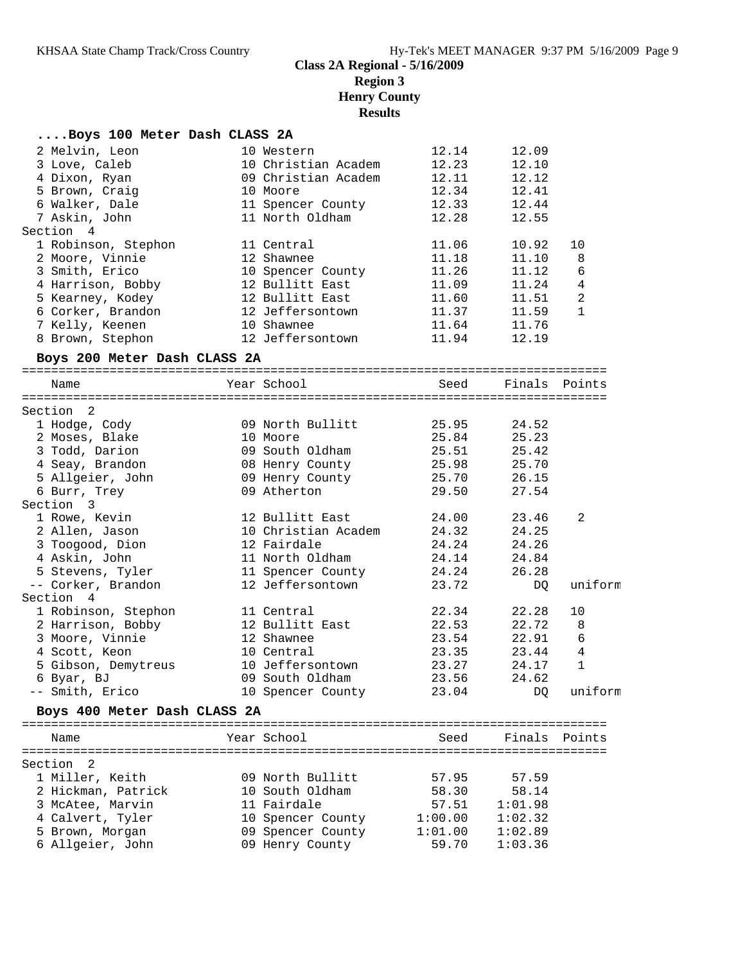## **....Boys 100 Meter Dash CLASS 2A**

| 2 Melvin, Leon               | 10 Western          | 12.14   | 12.09         |                |
|------------------------------|---------------------|---------|---------------|----------------|
| 3 Love, Caleb                | 10 Christian Academ | 12.23   | 12.10         |                |
| 4 Dixon, Ryan                | 09 Christian Academ | 12.11   | 12.12         |                |
| 5 Brown, Craig               | 10 Moore            | 12.34   | 12.41         |                |
| 6 Walker, Dale               | 11 Spencer County   | 12.33   | 12.44         |                |
| 7 Askin, John                | 11 North Oldham     | 12.28   | 12.55         |                |
| Section 4                    |                     |         |               |                |
| 1 Robinson, Stephon          | 11 Central          | 11.06   | 10.92         | 10             |
| 2 Moore, Vinnie              | 12 Shawnee          | 11.18   | 11.10         | 8              |
| 3 Smith, Erico               | 10 Spencer County   | 11.26   | 11.12         | 6              |
| 4 Harrison, Bobby            | 12 Bullitt East     | 11.09   | 11.24         | $\overline{4}$ |
| 5 Kearney, Kodey             | 12 Bullitt East     | 11.60   | 11.51         | $\overline{c}$ |
| 6 Corker, Brandon            | 12 Jeffersontown    | 11.37   | 11.59         | 1              |
| 7 Kelly, Keenen              | 10 Shawnee          | 11.64   | 11.76         |                |
| 8 Brown, Stephon             | 12 Jeffersontown    | 11.94   | 12.19         |                |
| Boys 200 Meter Dash CLASS 2A |                     |         |               |                |
| Name                         | Year School         | Seed    | Finals Points |                |
|                              |                     |         |               |                |
| Section 2                    |                     |         |               |                |
| 1 Hodge, Cody                | 09 North Bullitt    | 25.95   | 24.52         |                |
| 2 Moses, Blake               | 10 Moore            | 25.84   | 25.23         |                |
| 3 Todd, Darion               | 09 South Oldham     | 25.51   | 25.42         |                |
| 4 Seay, Brandon              | 08 Henry County     | 25.98   | 25.70         |                |
| 5 Allgeier, John             | 09 Henry County     | 25.70   | 26.15         |                |
| 6 Burr, Trey                 | 09 Atherton         | 29.50   | 27.54         |                |
| Section 3                    |                     |         |               |                |
| 1 Rowe, Kevin                | 12 Bullitt East     | 24.00   | 23.46         | 2              |
| 2 Allen, Jason               | 10 Christian Academ | 24.32   | 24.25         |                |
| 3 Toogood, Dion              | 12 Fairdale         | 24.24   | 24.26         |                |
| 4 Askin, John                | 11 North Oldham     | 24.14   | 24.84         |                |
| 5 Stevens, Tyler             | 11 Spencer County   | 24.24   | 26.28         |                |
| -- Corker, Brandon           | 12 Jeffersontown    | 23.72   | DQ            | uniform        |
| Section 4                    |                     |         |               |                |
| 1 Robinson, Stephon          | 11 Central          | 22.34   | 22.28         | 10             |
| 2 Harrison, Bobby            | 12 Bullitt East     | 22.53   | 22.72         | 8              |
| 3 Moore, Vinnie              | 12 Shawnee          | 23.54   | 22.91         | 6              |
| 4 Scott, Keon                | 10 Central          | 23.35   | 23.44         | 4              |
| 5 Gibson, Demytreus          | 10 Jeffersontown    | 23.27   | 24.17         | $\mathbf 1$    |
| 6 Byar, BJ                   | 09 South Oldham     | 23.56   | 24.62         |                |
| -- Smith, Erico              | 10 Spencer County   | 23.04   |               | DQ uniform     |
| Boys 400 Meter Dash CLASS 2A |                     |         |               |                |
| Name                         | Year School         | Seed    | Finals Points |                |
| Section<br>2                 |                     |         |               |                |
| 1 Miller, Keith              | 09 North Bullitt    | 57.95   | 57.59         |                |
| 2 Hickman, Patrick           | 10 South Oldham     | 58.30   | 58.14         |                |
| 3 McAtee, Marvin             | 11 Fairdale         | 57.51   | 1:01.98       |                |
| 4 Calvert, Tyler             | 10 Spencer County   | 1:00.00 | 1:02.32       |                |
| 5 Brown, Morgan              | 09 Spencer County   | 1:01.00 | 1:02.89       |                |
| 6 Allgeier, John             | 09 Henry County     | 59.70   | 1:03.36       |                |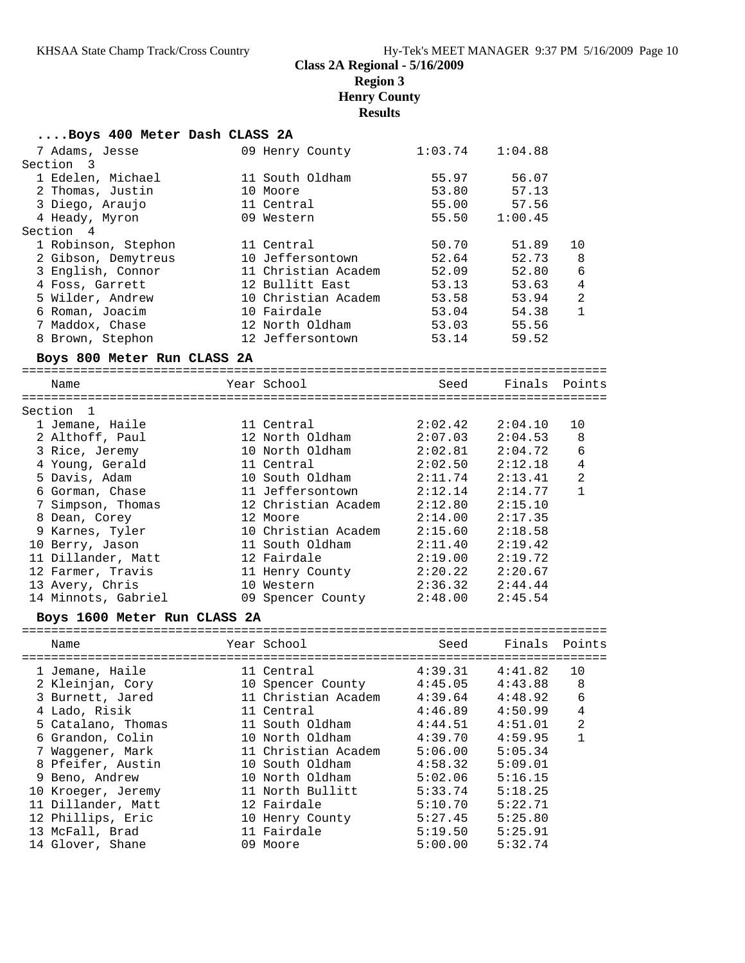# **....Boys 400 Meter Dash CLASS 2A**<br>7 Adams, Jesse 09 Henry

| 7 Adams, Jesse               | 09 Henry County     | 1:03.74                                                                                      | 1:04.88               |                |
|------------------------------|---------------------|----------------------------------------------------------------------------------------------|-----------------------|----------------|
| Section 3                    |                     |                                                                                              |                       |                |
| 1 Edelen, Michael            | 11 South Oldham     | 55.97                                                                                        | 56.07                 |                |
| 2 Thomas, Justin             | 10 Moore            | 53.80                                                                                        | 57.13                 |                |
| 3 Diego, Araujo              | 11 Central          | 55.00                                                                                        | 57.56                 |                |
| 4 Heady, Myron               | 09 Western          | 55.50                                                                                        | 1:00.45               |                |
| Section 4                    |                     |                                                                                              |                       |                |
| 1 Robinson, Stephon          | 11 Central          | 50.70                                                                                        | 51.89                 | 10             |
| 2 Gibson, Demytreus          | 10 Jeffersontown    | 52.64                                                                                        | 52.73                 | 8              |
| 3 English, Connor            | 11 Christian Academ | 52.09                                                                                        | 52.80                 | 6              |
| 4 Foss, Garrett              | 12 Bullitt East     | 53.13                                                                                        | 53.63                 | $\overline{4}$ |
| 5 Wilder, Andrew             | 10 Christian Academ | 53.58                                                                                        | 53.94                 | $\overline{2}$ |
| 6 Roman, Joacim              | 10 Fairdale         | 53.04                                                                                        | 54.38                 | 1              |
| 7 Maddox, Chase              | 12 North Oldham     | 53.03                                                                                        | 55.56                 |                |
| 8 Brown, Stephon             | 12 Jeffersontown    | 53.14                                                                                        | 59.52                 |                |
| Boys 800 Meter Run CLASS 2A  |                     |                                                                                              |                       |                |
| Name                         | Year School         | Seed                                                                                         | Finals                | Points         |
|                              |                     |                                                                                              |                       |                |
| Section 1                    |                     |                                                                                              |                       |                |
| 1 Jemane, Haile              | 11 Central          | 2:02.42                                                                                      | 2:04.10               | 10             |
| 2 Althoff, Paul              | 12 North Oldham     | 2:07.03                                                                                      | 2:04.53               | 8              |
| 3 Rice, Jeremy               | 10 North Oldham     | 2:02.81                                                                                      | 2:04.72               | 6              |
| 4 Young, Gerald              | 11 Central          | 2:02.50                                                                                      | 2:12.18               | $\overline{4}$ |
| 5 Davis, Adam                | 10 South Oldham     | 2:11.74                                                                                      | 2:13.41               | $\overline{2}$ |
| 6 Gorman, Chase              | 11 Jeffersontown    | 2:12.14                                                                                      | 2:14.77               | $\mathbf{1}$   |
| 7 Simpson, Thomas            | 12 Christian Academ | 2:12.80                                                                                      | 2:15.10               |                |
| 8 Dean, Corey                | 12 Moore            | 2:14.00                                                                                      | 2:17.35               |                |
| 9 Karnes, Tyler              | 10 Christian Academ | 2:15.60                                                                                      | 2:18.58               |                |
| 10 Berry, Jason              | 11 South Oldham     | 2:11.40                                                                                      | 2:19.42               |                |
| 11 Dillander, Matt           | 12 Fairdale         | $\begin{array}{ccc} 2:19.00 & 2:19.72 \\ 2:20.22 & 2:20.67 \\ 2:36.32 & 2:44.44 \end{array}$ |                       |                |
| 12 Farmer, Travis            | 11 Henry County     |                                                                                              |                       |                |
| 13 Avery, Chris              | 10 Western          |                                                                                              |                       |                |
| 14 Minnots, Gabriel          | 09 Spencer County   | 2:48.00                                                                                      | 2:45.54               |                |
| Boys 1600 Meter Run CLASS 2A |                     |                                                                                              |                       |                |
| Name                         | Year School         | Seed                                                                                         | Finals Points         |                |
| 1 Jemane, Haile              | 11 Central          | $4:39.31$ $4:41.82$                                                                          |                       | 10             |
| 2 Kleinjan, Cory             | 10 Spencer County   |                                                                                              | $4:45.05$ $4:43.88$ 8 |                |
| 3 Burnett, Jared             | 11 Christian Academ | 4:39.64                                                                                      | 4:48.92               | 6              |
| 4 Lado, Risik                | 11 Central          | 4:46.89                                                                                      | 4:50.99               | 4              |
| 5 Catalano, Thomas           | 11 South Oldham     | 4:44.51                                                                                      | 4:51.01               | 2              |
| 6 Grandon, Colin             | 10 North Oldham     | 4:39.70                                                                                      | 4:59.95               | 1              |
| 7 Waggener, Mark             | 11 Christian Academ | 5:06.00                                                                                      | 5:05.34               |                |
| 8 Pfeifer, Austin            | 10 South Oldham     | 4:58.32                                                                                      | 5:09.01               |                |
| 9 Beno, Andrew               | 10 North Oldham     | 5:02.06                                                                                      | 5:16.15               |                |
| 10 Kroeger, Jeremy           | 11 North Bullitt    | 5:33.74                                                                                      | 5:18.25               |                |
| 11 Dillander, Matt           | 12 Fairdale         | 5:10.70                                                                                      | 5:22.71               |                |
| 12 Phillips, Eric            | 10 Henry County     | 5:27.45                                                                                      | 5:25.80               |                |
| 13 McFall, Brad              | 11 Fairdale         | 5:19.50                                                                                      | 5:25.91               |                |
| 14 Glover, Shane             | 09 Moore            | 5:00.00                                                                                      | 5:32.74               |                |
|                              |                     |                                                                                              |                       |                |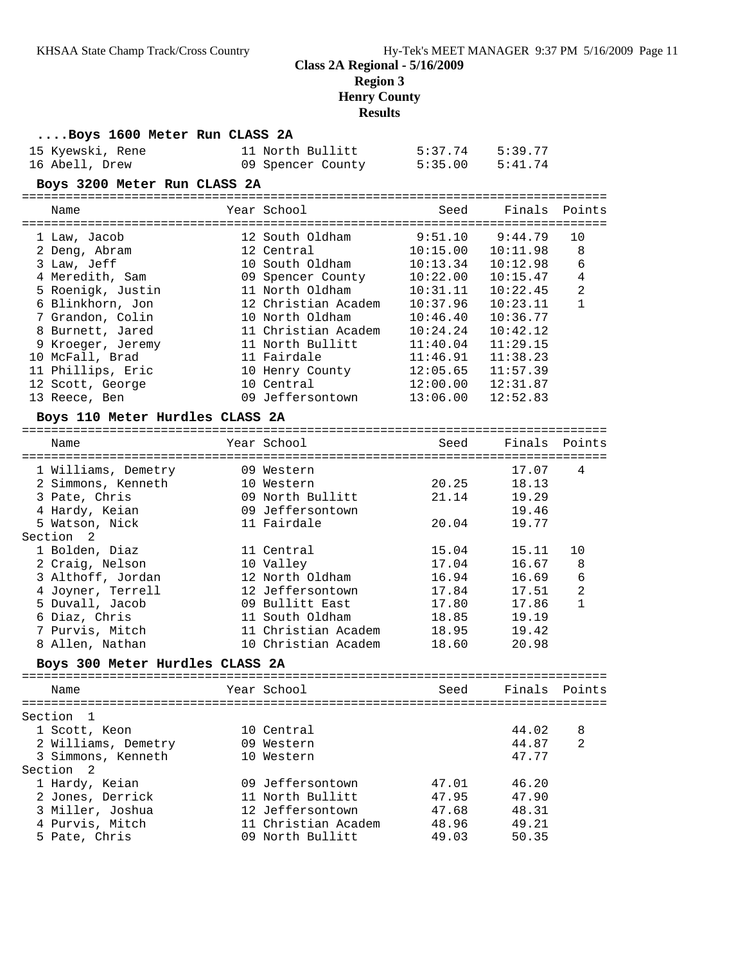#### **....Boys 1600 Meter Run CLASS 2A**

| 15 Kyewski, Rene | 11 North Bullitt  | 5:37.74 | 5:39.77 |
|------------------|-------------------|---------|---------|
| 16 Abell, Drew   | 09 Spencer County | 5:35.00 | 5:41.74 |

#### **Boys 3200 Meter Run CLASS 2A**

| Name              | Year School         | Seed     | Finals Points |                |
|-------------------|---------------------|----------|---------------|----------------|
| 1 Law, Jacob      | 12 South Oldham     | 9:51.10  | 9:44.79       | 10             |
| 2 Deng, Abram     | 12 Central          | 10:15.00 | 10:11.98      | 8              |
| 3 Law, Jeff       | 10 South Oldham     | 10:13.34 | 10:12.98      | 6              |
| 4 Meredith, Sam   | 09 Spencer County   | 10:22.00 | 10:15.47      | 4              |
| 5 Roenigk, Justin | 11 North Oldham     | 10:31.11 | 10:22.45      | $\overline{2}$ |
| 6 Blinkhorn, Jon  | 12 Christian Academ | 10:37.96 | 10:23.11      |                |
| 7 Grandon, Colin  | 10 North Oldham     | 10:46.40 | 10:36.77      |                |
| 8 Burnett, Jared  | 11 Christian Academ | 10:24.24 | 10:42.12      |                |
| 9 Kroeger, Jeremy | 11 North Bullitt    | 11:40.04 | 11:29.15      |                |
| 10 McFall, Brad   | 11 Fairdale         | 11:46.91 | 11:38.23      |                |
| 11 Phillips, Eric | 10 Henry County     | 12:05.65 | 11:57.39      |                |
| 12 Scott, George  | 10 Central          | 12:00.00 | 12:31.87      |                |
| 13 Reece, Ben     | 09 Jeffersontown    | 13:06.00 | 12:52.83      |                |

#### **Boys 110 Meter Hurdles CLASS 2A**

| Name                | Year School         | Seed  | Finals | Points         |
|---------------------|---------------------|-------|--------|----------------|
|                     |                     |       |        |                |
| 1 Williams, Demetry | 09 Western          |       | 17.07  | 4              |
| 2 Simmons, Kenneth  | 10 Western          | 20.25 | 18.13  |                |
| 3 Pate, Chris       | 09 North Bullitt    | 21.14 | 19.29  |                |
| 4 Hardy, Keian      | 09 Jeffersontown    |       | 19.46  |                |
| 5 Watson, Nick      | 11 Fairdale         | 20.04 | 19.77  |                |
| Section 2           |                     |       |        |                |
| 1 Bolden, Diaz      | 11 Central          | 15.04 | 15.11  | 10             |
| 2 Craig, Nelson     | 10 Valley           | 17.04 | 16.67  | 8              |
| 3 Althoff, Jordan   | 12 North Oldham     | 16.94 | 16.69  | 6              |
| 4 Joyner, Terrell   | 12 Jeffersontown    | 17.84 | 17.51  | $\overline{2}$ |
| 5 Duvall, Jacob     | 09 Bullitt East     | 17.80 | 17.86  |                |
| 6 Diaz, Chris       | 11 South Oldham     | 18.85 | 19.19  |                |
| 7 Purvis, Mitch     | 11 Christian Academ | 18.95 | 19.42  |                |
| 8 Allen, Nathan     | 10 Christian Academ | 18.60 | 20.98  |                |
|                     |                     |       |        |                |

#### **Boys 300 Meter Hurdles CLASS 2A**

| Name                | Year School         | Seed  | Finals Points |                |
|---------------------|---------------------|-------|---------------|----------------|
| Section 1           |                     |       |               |                |
| 1 Scott, Keon       | 10 Central          |       | 44.02         | 8              |
| 2 Williams, Demetry | 09 Western          |       | 44.87         | $\overline{2}$ |
| 3 Simmons, Kenneth  | 10 Western          |       | 47.77         |                |
| Section 2           |                     |       |               |                |
| 1 Hardy, Keian      | 09 Jeffersontown    | 47.01 | 46.20         |                |
| 2 Jones, Derrick    | 11 North Bullitt    | 47.95 | 47.90         |                |
| 3 Miller, Joshua    | 12 Jeffersontown    | 47.68 | 48.31         |                |
| 4 Purvis, Mitch     | 11 Christian Academ | 48.96 | 49.21         |                |
| 5 Pate, Chris       | 09 North Bullitt    | 49.03 | 50.35         |                |
|                     |                     |       |               |                |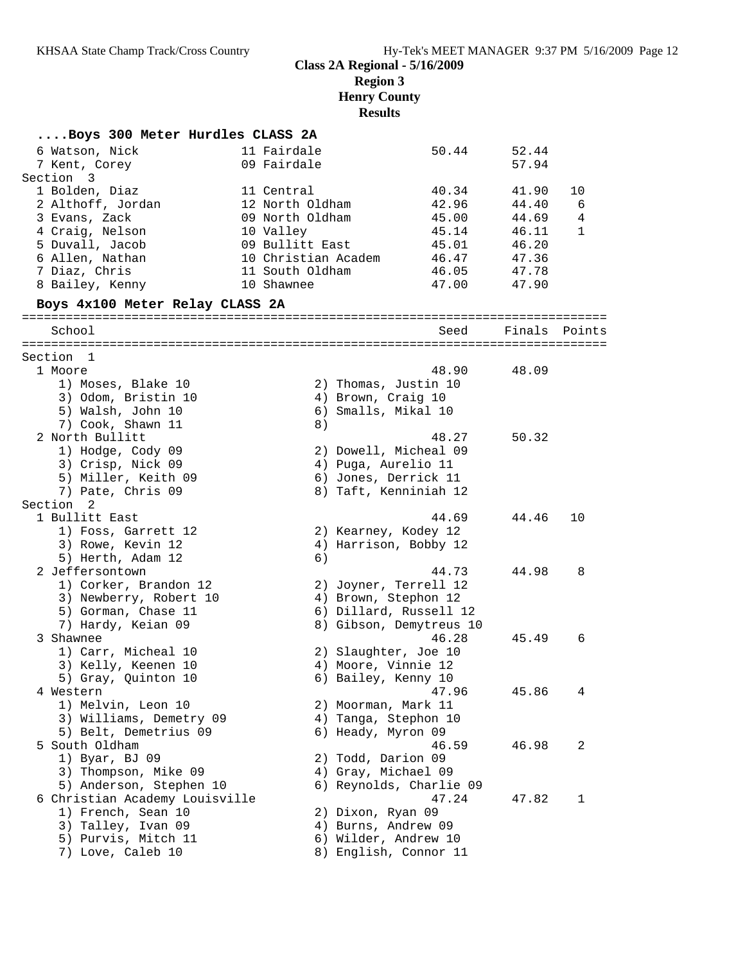| Boys 300 Meter Hurdles CLASS 2A    |                     |                         |        |              |
|------------------------------------|---------------------|-------------------------|--------|--------------|
| 6 Watson, Nick                     | 11 Fairdale         | 50.44                   | 52.44  |              |
| 7 Kent, Corey                      | 09 Fairdale         |                         | 57.94  |              |
| Section<br>$\overline{\mathbf{3}}$ |                     |                         |        |              |
| 1 Bolden, Diaz                     | 11 Central          | 40.34                   | 41.90  | 10           |
| 2 Althoff, Jordan                  | 12 North Oldham     | 42.96                   | 44.40  | 6            |
| 3 Evans, Zack                      | 09 North Oldham     | 45.00                   | 44.69  | 4            |
| 4 Craig, Nelson                    | 10 Valley           | 45.14                   | 46.11  | $\mathbf{1}$ |
| 5 Duvall, Jacob                    | 09 Bullitt East     | 45.01                   | 46.20  |              |
| 6 Allen, Nathan                    | 10 Christian Academ | 46.47                   | 47.36  |              |
| 7 Diaz, Chris                      | 11 South Oldham     | 46.05                   | 47.78  |              |
| 8 Bailey, Kenny                    | 10 Shawnee          | 47.00                   | 47.90  |              |
| Boys 4x100 Meter Relay CLASS 2A    |                     |                         |        |              |
| School                             |                     | Seed                    | Finals | Points       |
|                                    |                     |                         |        |              |
| Section 1<br>1 Moore               |                     | 48.90                   | 48.09  |              |
| 1) Moses, Blake 10                 |                     | 2) Thomas, Justin 10    |        |              |
| 3) Odom, Bristin 10                |                     | 4) Brown, Craig 10      |        |              |
| 5) Walsh, John 10                  |                     | 6) Smalls, Mikal 10     |        |              |
| 7) Cook, Shawn 11                  | 8)                  |                         |        |              |
| 2 North Bullitt                    |                     | 48.27                   | 50.32  |              |
| 1) Hodge, Cody 09                  |                     | 2) Dowell, Micheal 09   |        |              |
| 3) Crisp, Nick 09                  |                     | 4) Puga, Aurelio 11     |        |              |
| 5) Miller, Keith 09                |                     | 6) Jones, Derrick 11    |        |              |
| 7) Pate, Chris 09                  |                     | 8) Taft, Kenniniah 12   |        |              |
| Section 2                          |                     |                         |        |              |
| 1 Bullitt East                     |                     | 44.69                   | 44.46  | 10           |
| 1) Foss, Garrett 12                |                     | 2) Kearney, Kodey 12    |        |              |
| 3) Rowe, Kevin 12                  |                     | 4) Harrison, Bobby 12   |        |              |
| 5) Herth, Adam 12                  | 6)                  |                         |        |              |
| 2 Jeffersontown                    |                     | 44.73                   | 44.98  | 8            |
| 1) Corker, Brandon 12              |                     | 2) Joyner, Terrell 12   |        |              |
| 3) Newberry, Robert 10             |                     | 4) Brown, Stephon 12    |        |              |
| 5) Gorman, Chase 11                |                     | 6) Dillard, Russell 12  |        |              |
| 7) Hardy, Keian 09                 |                     | 8) Gibson, Demytreus 10 |        |              |
| 3 Shawnee                          |                     | 46.28                   | 45.49  | 6            |
| 1) Carr, Micheal 10                |                     | 2) Slaughter, Joe 10    |        |              |
| 3) Kelly, Keenen 10                |                     | 4) Moore, Vinnie 12     |        |              |
| 5) Gray, Quinton 10                |                     | 6) Bailey, Kenny 10     |        |              |
| 4 Western                          |                     | 47.96                   | 45.86  | 4            |
| 1) Melvin, Leon 10                 |                     | 2) Moorman, Mark 11     |        |              |
| 3) Williams, Demetry 09            |                     | 4) Tanga, Stephon 10    |        |              |
| 5) Belt, Demetrius 09              |                     | 6) Heady, Myron 09      |        |              |
| 5 South Oldham                     |                     | 46.59                   | 46.98  | 2            |
| 1) Byar, BJ 09                     |                     | 2) Todd, Darion 09      |        |              |
| 3) Thompson, Mike 09               |                     | 4) Gray, Michael 09     |        |              |
| 5) Anderson, Stephen 10            |                     | 6) Reynolds, Charlie 09 |        |              |
| 6 Christian Academy Louisville     |                     | 47.24                   | 47.82  | 1            |
| 1) French, Sean 10                 |                     | 2) Dixon, Ryan 09       |        |              |
| 3) Talley, Ivan 09                 |                     | 4) Burns, Andrew 09     |        |              |
| 5) Purvis, Mitch 11                |                     | 6) Wilder, Andrew 10    |        |              |
| 7) Love, Caleb 10                  |                     | 8) English, Connor 11   |        |              |
|                                    |                     |                         |        |              |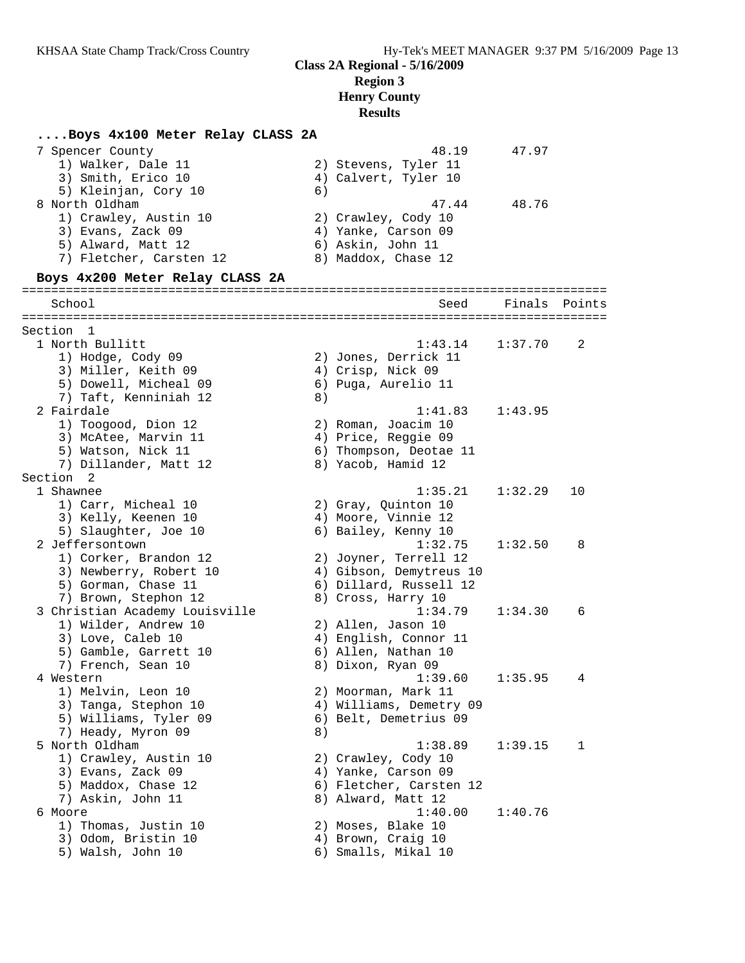#### **....Boys 4x100 Meter Relay CLASS 2A**

| 7 Spencer County<br>1) Walker, Dale 11<br>3) Smith, Erico 10                         |    | 48.19<br>2) Stevens, Tyler 11<br>4) Calvert, Tyler 10 | 47.97   |        |
|--------------------------------------------------------------------------------------|----|-------------------------------------------------------|---------|--------|
| 5) Kleinjan, Cory 10<br>8 North Oldham<br>1) Crawley, Austin 10<br>3) Evans, Zack 09 | 6) | 47.44<br>2) Crawley, Cody 10<br>4) Yanke, Carson 09   | 48.76   |        |
| 5) Alward, Matt 12<br>7) Fletcher, Carsten 12                                        |    | 6) Askin, John 11<br>8) Maddox, Chase 12              |         |        |
| Boys 4x200 Meter Relay CLASS 2A                                                      |    |                                                       |         |        |
| School                                                                               |    | Seed                                                  | Finals  | Points |
|                                                                                      |    |                                                       |         |        |
| Section 1<br>1 North Bullitt                                                         |    | 1:43.14                                               | 1:37.70 | 2      |
| 1) Hodge, Cody 09                                                                    |    | 2) Jones, Derrick 11                                  |         |        |
| 3) Miller, Keith 09                                                                  |    | 4) Crisp, Nick 09                                     |         |        |
| 5) Dowell, Micheal 09                                                                |    | 6) Puga, Aurelio 11                                   |         |        |
| 7) Taft, Kenniniah 12                                                                | 8) |                                                       |         |        |
| 2 Fairdale                                                                           |    | 1:41.83                                               | 1:43.95 |        |
| 1) Toogood, Dion 12                                                                  |    | 2) Roman, Joacim 10                                   |         |        |
| 3) McAtee, Marvin 11                                                                 |    | 4) Price, Reggie 09                                   |         |        |
| 5) Watson, Nick 11                                                                   |    | 6) Thompson, Deotae 11                                |         |        |
| 7) Dillander, Matt 12                                                                |    | 8) Yacob, Hamid 12                                    |         |        |
| Section 2                                                                            |    |                                                       |         |        |
| 1 Shawnee                                                                            |    | 1:35.21                                               | 1:32.29 | 10     |
| 1) Carr, Micheal 10                                                                  |    | 2) Gray, Quinton 10                                   |         |        |
| 3) Kelly, Keenen 10                                                                  |    | 4) Moore, Vinnie 12                                   |         |        |
| 5) Slaughter, Joe 10                                                                 |    | 6) Bailey, Kenny 10                                   |         |        |
| 2 Jeffersontown                                                                      |    | 1:32.75                                               | 1:32.50 | 8      |
| 1) Corker, Brandon 12                                                                |    | 2) Joyner, Terrell 12                                 |         |        |
| 3) Newberry, Robert 10                                                               |    | 4) Gibson, Demytreus 10                               |         |        |
| 5) Gorman, Chase 11                                                                  |    | 6) Dillard, Russell 12                                |         |        |
| 7) Brown, Stephon 12                                                                 |    | 8) Cross, Harry 10                                    |         |        |
| 3 Christian Academy Louisville<br>1) Wilder, Andrew 10                               |    | 1:34.79<br>2) Allen, Jason 10                         | 1:34.30 | 6      |
| 3) Love, Caleb 10                                                                    |    | 4) English, Connor 11                                 |         |        |
| 5) Gamble, Garrett 10                                                                |    | 6) Allen, Nathan 10                                   |         |        |
| 7) French, Sean 10                                                                   |    | 8) Dixon, Ryan 09                                     |         |        |
| 4 Western                                                                            |    | 1:39.60                                               | 1:35.95 | 4      |
| 1) Melvin, Leon 10                                                                   |    | 2) Moorman, Mark 11                                   |         |        |
| 3) Tanga, Stephon 10                                                                 |    | 4) Williams, Demetry 09                               |         |        |
| 5) Williams, Tyler 09                                                                |    | 6) Belt, Demetrius 09                                 |         |        |
| 7) Heady, Myron 09                                                                   | 8) |                                                       |         |        |
| 5 North Oldham                                                                       |    | 1:38.89                                               | 1:39.15 | 1      |
| 1) Crawley, Austin 10                                                                |    | 2) Crawley, Cody 10                                   |         |        |
| 3) Evans, Zack 09                                                                    |    | 4) Yanke, Carson 09                                   |         |        |
| 5) Maddox, Chase 12                                                                  |    | 6) Fletcher, Carsten 12                               |         |        |
| 7) Askin, John 11                                                                    |    | 8) Alward, Matt 12                                    |         |        |
| 6 Moore                                                                              |    | 1:40.00                                               | 1:40.76 |        |
| 1) Thomas, Justin 10                                                                 |    | 2) Moses, Blake 10                                    |         |        |
| 3) Odom, Bristin 10                                                                  |    | 4) Brown, Craig 10                                    |         |        |
| 5) Walsh, John 10                                                                    |    | 6) Smalls, Mikal 10                                   |         |        |
|                                                                                      |    |                                                       |         |        |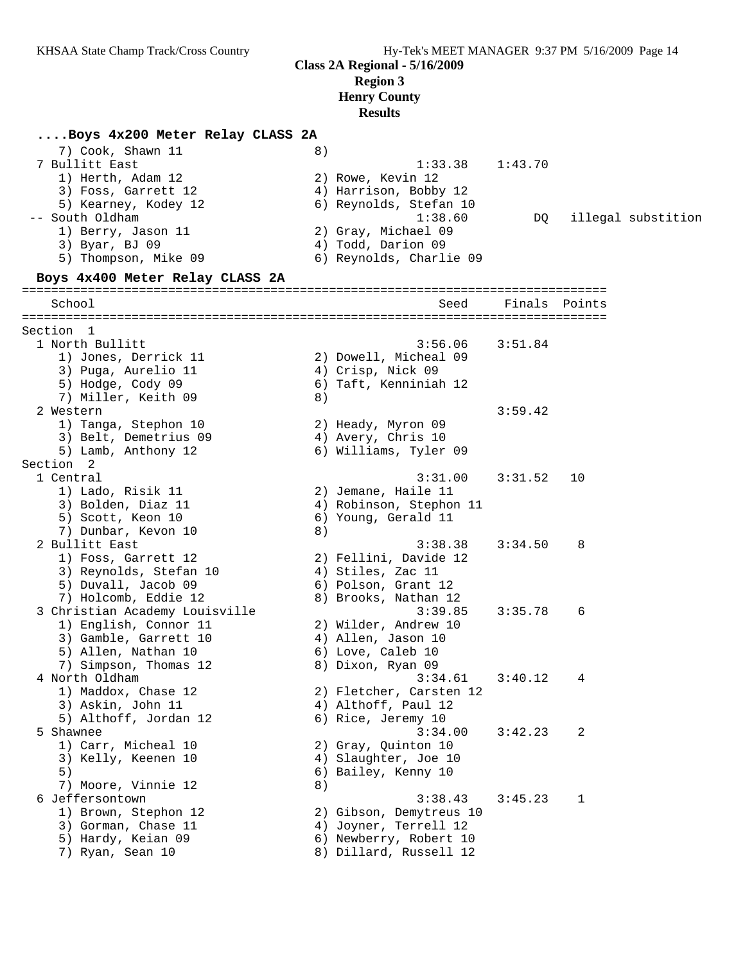#### **....Boys 4x200 Meter Relay CLASS 2A**

| 7) Cook, Shawn 11<br>7 Bullitt East<br>1) Herth, Adam 12<br>3) Foss, Garrett 12<br>5) Kearney, Kodey 12<br>-- South Oldham<br>1) Berry, Jason 11<br>3) Byar, BJ 09<br>5) Thompson, Mike 09<br>Boys 4x400 Meter Relay CLASS 2A | 8) | 1:33.38<br>2) Rowe, Kevin 12<br>4) Harrison, Bobby 12<br>6) Reynolds, Stefan 10<br>1:38.60<br>2) Gray, Michael 09<br>4) Todd, Darion 09<br>6) Reynolds, Charlie 09 | 1:43.70<br>DQ. |    | illegal substition |
|-------------------------------------------------------------------------------------------------------------------------------------------------------------------------------------------------------------------------------|----|--------------------------------------------------------------------------------------------------------------------------------------------------------------------|----------------|----|--------------------|
| School                                                                                                                                                                                                                        |    | Seed                                                                                                                                                               | Finals Points  |    |                    |
| Section 1<br>1 North Bullitt<br>1) Jones, Derrick 11<br>3) Puga, Aurelio 11<br>5) Hodge, Cody 09<br>7) Miller, Keith 09                                                                                                       | 8) | 3:56.06<br>2) Dowell, Micheal 09<br>4) Crisp, Nick 09<br>6) Taft, Kenniniah 12                                                                                     | 3:51.84        |    |                    |
| 2 Western<br>1) Tanga, Stephon 10<br>3) Belt, Demetrius 09<br>5) Lamb, Anthony 12                                                                                                                                             |    | 2) Heady, Myron 09<br>4) Avery, Chris 10<br>6) Williams, Tyler 09                                                                                                  | 3:59.42        |    |                    |
| Section 2<br>1 Central<br>1) Lado, Risik 11<br>3) Bolden, Diaz 11<br>5) Scott, Keon 10<br>7) Dunbar, Kevon 10                                                                                                                 | 8) | 3:31.00<br>2) Jemane, Haile 11<br>4) Robinson, Stephon 11<br>6) Young, Gerald 11                                                                                   | 3:31.52        | 10 |                    |
| 2 Bullitt East<br>1) Foss, Garrett 12<br>3) Reynolds, Stefan 10<br>5) Duvall, Jacob 09<br>7) Holcomb, Eddie 12                                                                                                                |    | 3:38.38<br>2) Fellini, Davide 12<br>4) Stiles, Zac 11<br>6) Polson, Grant 12<br>8) Brooks, Nathan 12                                                               | 3:34.50        | 8  |                    |
| 3 Christian Academy Louisville<br>1) English, Connor 11<br>3) Gamble, Garrett 10<br>5) Allen, Nathan 10<br>7) Simpson, Thomas 12                                                                                              |    | 3:39.85<br>2) Wilder, Andrew 10<br>4) Allen, Jason 10<br>6) Love, Caleb 10<br>8) Dixon, Ryan 09                                                                    | 3:35.78        | 6  |                    |
| 4 North Oldham<br>1) Maddox, Chase 12<br>3) Askin, John 11<br>5) Althoff, Jordan 12                                                                                                                                           |    | 3:34.61<br>2) Fletcher, Carsten 12<br>4) Althoff, Paul 12<br>6) Rice, Jeremy 10                                                                                    | 3:40.12        | 4  |                    |
| 5 Shawnee<br>1) Carr, Micheal 10<br>3) Kelly, Keenen 10<br>5)<br>7) Moore, Vinnie 12                                                                                                                                          | 8) | 3:34.00<br>2) Gray, Quinton 10<br>4) Slaughter, Joe 10<br>6) Bailey, Kenny 10                                                                                      | 3:42.23        | 2  |                    |
| 6 Jeffersontown<br>1) Brown, Stephon 12<br>3) Gorman, Chase 11<br>5) Hardy, Keian 09<br>7) Ryan, Sean 10                                                                                                                      |    | 3:38.43<br>2) Gibson, Demytreus 10<br>4) Joyner, Terrell 12<br>6) Newberry, Robert 10<br>8) Dillard, Russell 12                                                    | 3:45.23        | 1  |                    |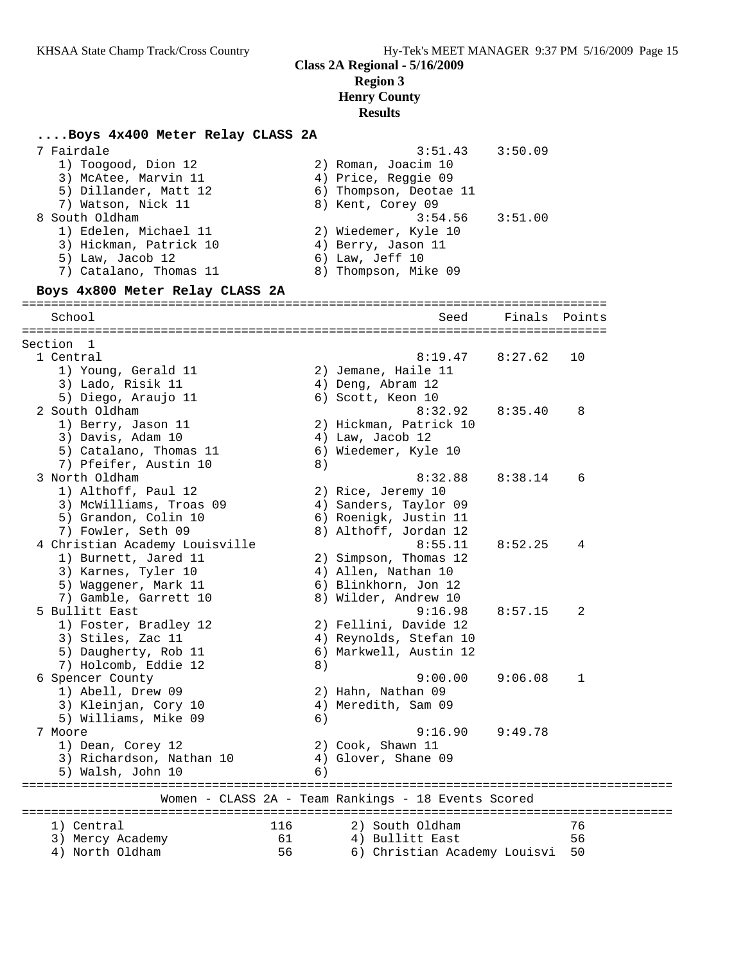## **Class 2A Regional - 5/16/2009 Region 3**

**Henry County**

#### **Results**

| Boys 4x400 Meter Relay CLASS 2A                        |     |                                                     |         |        |
|--------------------------------------------------------|-----|-----------------------------------------------------|---------|--------|
| 7 Fairdale                                             |     | 3:51.43                                             | 3:50.09 |        |
| 1) Toogood, Dion 12                                    |     | 2) Roman, Joacim 10                                 |         |        |
| 3) McAtee, Marvin 11                                   |     | 4) Price, Reggie 09                                 |         |        |
| 5) Dillander, Matt 12                                  |     | 6) Thompson, Deotae 11                              |         |        |
| 7) Watson, Nick 11                                     |     | 8) Kent, Corey 09                                   |         |        |
| 8 South Oldham                                         |     | 3:54.56                                             | 3:51.00 |        |
| 1) Edelen, Michael 11                                  |     | 2) Wiedemer, Kyle 10                                |         |        |
| 3) Hickman, Patrick 10                                 |     | 4) Berry, Jason 11                                  |         |        |
| 5) Law, Jacob 12                                       |     | 6) Law, Jeff 10                                     |         |        |
| 7) Catalano, Thomas 11                                 |     | 8) Thompson, Mike 09                                |         |        |
| Boys 4x800 Meter Relay CLASS 2A                        |     |                                                     |         |        |
| School                                                 |     | Seed                                                | Finals  | Points |
|                                                        |     |                                                     |         |        |
| Section 1                                              |     |                                                     |         |        |
| 1 Central                                              |     | 8:19.47                                             | 8:27.62 | 10     |
| 1) Young, Gerald 11                                    |     | 2) Jemane, Haile 11                                 |         |        |
| 3) Lado, Risik 11                                      |     | 4) Deng, Abram 12                                   |         |        |
| 5) Diego, Araujo 11                                    |     | 6) Scott, Keon 10                                   |         |        |
| 2 South Oldham                                         |     | 8:32.92                                             | 8:35.40 | 8      |
| 1) Berry, Jason 11                                     |     | 2) Hickman, Patrick 10                              |         |        |
| 3) Davis, Adam 10                                      |     | 4) Law, Jacob 12                                    |         |        |
| 5) Catalano, Thomas 11                                 |     | 6) Wiedemer, Kyle 10                                |         |        |
| 7) Pfeifer, Austin 10                                  | 8)  |                                                     |         |        |
| 3 North Oldham                                         |     | 8:32.88                                             | 8:38.14 | 6      |
| 1) Althoff, Paul 12                                    |     | 2) Rice, Jeremy 10                                  |         |        |
| 3) McWilliams, Troas 09                                |     | 4) Sanders, Taylor 09                               |         |        |
| 5) Grandon, Colin 10                                   |     | 6) Roenigk, Justin 11                               |         |        |
| 7) Fowler, Seth 09                                     |     | 8) Althoff, Jordan 12<br>8:55.11                    |         |        |
| 4 Christian Academy Louisville<br>1) Burnett, Jared 11 |     | 2) Simpson, Thomas 12                               | 8:52.25 | 4      |
| 3) Karnes, Tyler 10                                    |     | 4) Allen, Nathan 10                                 |         |        |
| 5) Waggener, Mark 11                                   |     | 6) Blinkhorn, Jon 12                                |         |        |
| 7) Gamble, Garrett 10                                  |     | 8) Wilder, Andrew 10                                |         |        |
| 5 Bullitt East                                         |     | 9:16.98                                             | 8:57.15 | 2      |
| 1) Foster, Bradley 12                                  |     | 2) Fellini, Davide 12                               |         |        |
| 3) Stiles, Zac 11                                      |     | 4) Reynolds, Stefan 10                              |         |        |
| 5) Daugherty, Rob 11                                   |     | 6) Markwell, Austin 12                              |         |        |
| 7) Holcomb, Eddie 12                                   | 8)  |                                                     |         |        |
| 6 Spencer County                                       |     | 9:00.00                                             | 9:06.08 | 1      |
| 1) Abell, Drew 09                                      |     | 2) Hahn, Nathan 09                                  |         |        |
| 3) Kleinjan, Cory 10                                   |     | 4) Meredith, Sam 09                                 |         |        |
| 5) Williams, Mike 09                                   | 6)  |                                                     |         |        |
| 7 Moore                                                |     | 9:16.90                                             | 9:49.78 |        |
| 1) Dean, Corey 12                                      |     | 2) Cook, Shawn 11                                   |         |        |
| 3) Richardson, Nathan 10                               |     | 4) Glover, Shane 09                                 |         |        |
| 5) Walsh, John 10                                      | 6)  |                                                     |         |        |
|                                                        |     | Women - CLASS 2A - Team Rankings - 18 Events Scored |         |        |
|                                                        |     |                                                     |         |        |
| 1) Central                                             | 116 | 2) South Oldham                                     |         | 76     |
| 3) Mercy Academy                                       | 61  | 4) Bullitt East                                     |         | 56     |
| 4) North Oldham                                        | 56  | 6) Christian Academy Louisvi                        |         | 50     |